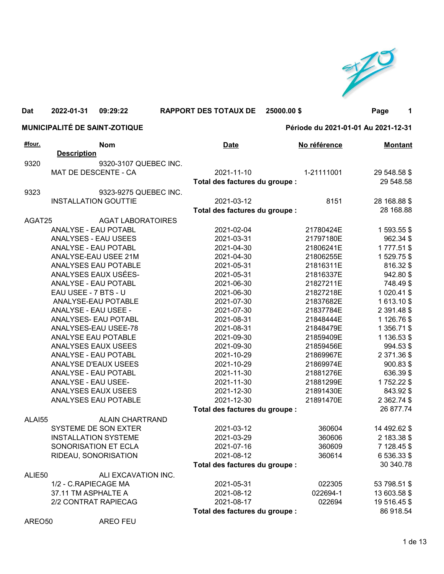

## 1 MUNICIPALITÉ DE SAINT-ZOTIQUE Période du 2021-01-01 Au 2021-12-31 Nom Dat 2022-01-31 09:29:22 RAPPORT DES TOTAUX DE #four. Date No référence Montant **Description** 9320 9320-3107 QUEBEC INC. MAT DE DESCENTE - CA 2021-11-10 1-21111001 29 548.58 \$ Total des factures du groupe : 29 548.58 9323 9323-9275 QUEBEC INC. INSTALLATION GOUTTIE 2021-03-12 8151 28 168.88 \$ Total des factures du groupe : 28 168.88 AGAT25 AGAT LABORATOIRES ANALYSE - EAU POTABL 2021-02-04 21780424E 1 593.55 \$ ANALYSES - EAU USEES 2021-03-31 21797180E 962.34 \$ ANALYSE - EAU POTABL 2021-04-30 21806241E 1 777.51 \$ ANALYSE-EAU USEE 21M 2021-04-30 21806255E 1 529.75 \$ ANALYSES EAU POTABLE 2021-05-31 21816311E 816.32 \$ ANALYSES EAUX USÉES- 2021-05-31 21816337E 942.80 \$ ANALYSE - EAU POTABL 2021-06-30 21827211E 748.49 \$ EAU USEE - 7 BTS - U 2021-06-30 21827218E 1 020.41 \$ ANALYSE-EAU POTABLE 2021-07-30 21837682E 1 613.10 \$ ANALYSE - EAU USEE - 2021-07-30 21837784E 2 391.48 \$ ANALYSES- EAU POTABL 2021-08-31 21848444E 1 126.76 \$ ANALYSES-EAU USEE-78 2021-08-31 21848479E 1 356.71 \$ ANALYSE EAU POTABLE 2021-09-30 2021-09-30 21859409E 1 136.53 \$ ANALYSES EAUX USEES 2021-09-30 21859456E 994.53 \$ ANALYSE - EAU POTABL 2021-10-29 2021-10-29 ANALYSE D'EAUX USEES 2021-10-29 21869974E 900.83 \$ ANALYSE - EAU POTABL 2021-11-30 21881276E 636.39 \$ ANALYSE - EAU USEE- 2021-11-30 2021-11-30 21881299E 1 752.22 \$ ANALYSES EAUX USEES 2021-12-30 21891430E 843.92 \$ ANALYSES EAU POTABLE 2021-12-30 21891470E 2 362.74 \$ Total des factures du groupe : 26 877.74 ALAI55 ALAIN CHARTRAND SYSTEME DE SON EXTER 2021-03-12 360604 14 492.62 \$ INSTALLATION SYSTEME 2021-03-29 360606 2 183.38 \$ SONORISATION ET ECLA 2021-07-16 360609 7 128.45 \$ RIDEAU, SONORISATION 2021-08-12 360614 6 536.33 \$ Total des factures du groupe : 30 340.78 ALIE50 ALI EXCAVATION INC. 1/2 - C.RAPIECAGE MA 2021-05-31 022305 53 798.51 \$ 37.11 TM ASPHALTE A 2021-08-12 022694-1 13 603.58 \$ 2/2 CONTRAT RAPIECAG 2021-08-17 022694 19 516.45 \$ Total des factures du groupe : 86 918.54 25000.00 \$ Page

AREO50 AREO FEU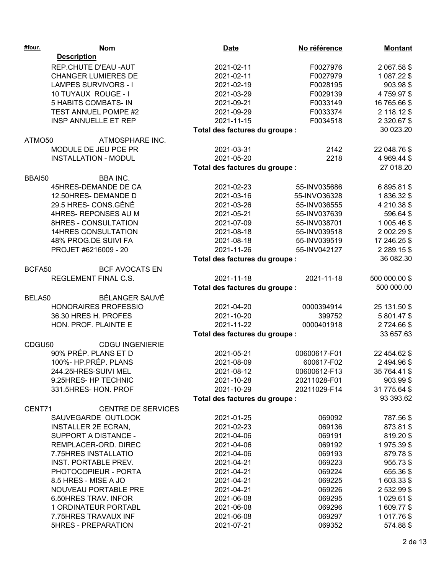| #four. | <b>Nom</b>                  | <b>Date</b>                    | No référence | <b>Montant</b>   |
|--------|-----------------------------|--------------------------------|--------------|------------------|
|        | <b>Description</b>          |                                |              |                  |
|        | REP.CHUTE D'EAU - AUT       | 2021-02-11                     | F0027976     | 2 067.58 \$      |
|        | <b>CHANGER LUMIERES DE</b>  | 2021-02-11                     | F0027979     | 1 087.22 \$      |
|        | <b>LAMPES SURVIVORS - I</b> | 2021-02-19                     | F0028195     | 903.98 \$        |
|        | 10 TUYAUX ROUGE - I         | 2021-03-29                     | F0029139     | 4759.97\$        |
|        | 5 HABITS COMBATS- IN        | 2021-09-21                     | F0033149     | 16 765.66 \$     |
|        | TEST ANNUEL POMPE #2        | 2021-09-29                     | F0033374     | 2 118.12 \$      |
|        | INSP ANNUELLE ET REP        | 2021-11-15                     | F0034518     | 2 320.67 \$      |
|        |                             | Total des factures du groupe : |              | 30 023.20        |
| ATMO50 | ATMOSPHARE INC.             |                                |              |                  |
|        | MODULE DE JEU PCE PR        | 2021-03-31                     | 2142         | 22 048.76 \$     |
|        | <b>INSTALLATION - MODUL</b> | 2021-05-20                     | 2218         | 4 969.44 \$      |
|        |                             | Total des factures du groupe : |              | 27 018.20        |
| BBAI50 | <b>BBA INC.</b>             |                                |              |                  |
|        | 45HRES-DEMANDE DE CA        | 2021-02-23                     | 55-INV035686 | 6 895.81 \$      |
|        | 12.50HRES-DEMANDE D         | 2021-03-16                     | 55-INVO36328 | 1836.32\$        |
|        | 29.5 HRES- CONS.GÉNÉ        | 2021-03-26                     | 55-INV036555 | 4 210.38 \$      |
|        | 4HRES-REPONSES AU M         | 2021-05-21                     | 55-INV037639 | 596.64 \$        |
|        | 8HRES - CONSULTATION        | 2021-07-09                     | 55-INV038701 | 1 005.46 \$      |
|        | <b>14HRES CONSULTATION</b>  | 2021-08-18                     | 55-INV039518 | 2 002.29 \$      |
|        | 48% PROG.DE SUIVI FA        | 2021-08-18                     | 55-INV039519 | 17 246.25 \$     |
|        | PROJET #6216009 - 20        | 2021-11-26                     | 55-INV042127 | 2 2 8 9 . 1 5 \$ |
|        |                             | Total des factures du groupe : |              | 36 082.30        |
| BCFA50 | <b>BCF AVOCATS EN</b>       |                                |              |                  |
|        | REGLEMENT FINAL C.S.        | 2021-11-18                     | 2021-11-18   | 500 000.00 \$    |
|        |                             | Total des factures du groupe : |              | 500 000.00       |
| BELA50 | BÉLANGER SAUVÉ              |                                |              |                  |
|        | HONORAIRES PROFESSIO        | 2021-04-20                     | 0000394914   | 25 131.50 \$     |
|        | 36.30 HRES H. PROFES        | 2021-10-20                     | 399752       | 5 801.47 \$      |
|        | HON. PROF. PLAINTE E        | 2021-11-22                     | 0000401918   | 2724.66\$        |
|        |                             | Total des factures du groupe : |              | 33 657.63        |
| CDGU50 | <b>CDGU INGENIERIE</b>      |                                |              |                  |
|        | 90% PRÉP. PLANS ET D        | 2021-05-21                     | 00600617-F01 | 22 454.62 \$     |
|        | 100%- HP.PRÉP. PLANS        | 2021-08-09                     | 600617-F02   | 2494.96\$        |
|        | 244.25HRES-SUIVI MEL        | 2021-08-12                     | 00600612-F13 | 35 764.41 \$     |
|        | 9.25HRES- HP TECHNIC        | 2021-10-28                     | 20211028-F01 | 903.99 \$        |
|        | 331.5HRES-HON. PROF         | 2021-10-29                     | 20211029-F14 | 31 775.64 \$     |
|        |                             | Total des factures du groupe : |              | 93 393.62        |
| CENT71 | <b>CENTRE DE SERVICES</b>   |                                |              |                  |
|        | SAUVEGARDE OUTLOOK          | 2021-01-25                     | 069092       | 787.56 \$        |
|        | <b>INSTALLER 2E ECRAN,</b>  | 2021-02-23                     | 069136       | 873.81 \$        |
|        | SUPPORT A DISTANCE -        | 2021-04-06                     | 069191       | 819.20\$         |
|        | REMPLACER-ORD, DIREC        | 2021-04-06                     | 069192       | 1975.39\$        |
|        | 7.75HRES INSTALLATIO        | 2021-04-06                     | 069193       | 879.78 \$        |
|        | INST. PORTABLE PREV.        | 2021-04-21                     | 069223       | 955.73 \$        |
|        | PHOTOCOPIEUR - PORTA        | 2021-04-21                     | 069224       | 655.36 \$        |
|        | 8.5 HRES - MISE A JO        | 2021-04-21                     | 069225       | 1603.33\$        |
|        | NOUVEAU PORTABLE PRE        | 2021-04-21                     | 069226       | 2 532.99 \$      |
|        | 6.50HRES TRAV. INFOR        | 2021-06-08                     | 069295       |                  |
|        | 1 ORDINATEUR PORTABL        |                                |              | 1 0 29.61 \$     |
|        |                             | 2021-06-08                     | 069296       | 1 609.77 \$      |
|        | 7.75HRES TRAVAUX INF        | 2021-06-08                     | 069297       | 1017.76\$        |
|        | <b>5HRES - PREPARATION</b>  | 2021-07-21                     | 069352       | 574.88 \$        |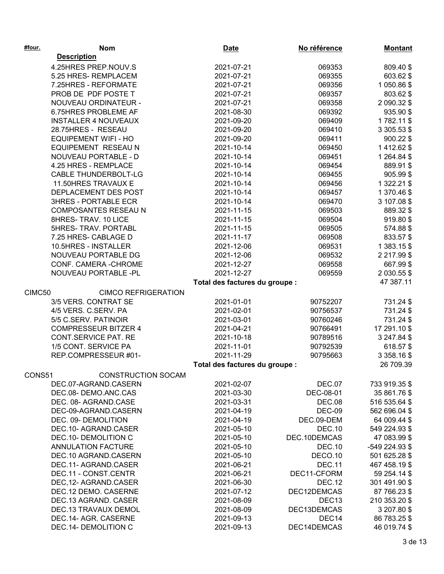| #four. | <b>Nom</b>                  | <b>Date</b>                    | No référence      | <b>Montant</b> |
|--------|-----------------------------|--------------------------------|-------------------|----------------|
|        | <b>Description</b>          |                                |                   |                |
|        | 4.25HRES PREP.NOUV.S        | 2021-07-21                     | 069353            | 809.40 \$      |
|        | 5.25 HRES-REMPLACEM         | 2021-07-21                     | 069355            | 603.62 \$      |
|        | 7.25HRES - REFORMATE        | 2021-07-21                     | 069356            | 1 050.86 \$    |
|        | PROB DE PDF POSTE T         | 2021-07-21                     | 069357            | 803.62 \$      |
|        | NOUVEAU ORDINATEUR -        | 2021-07-21                     | 069358            | 2 090.32 \$    |
|        | 6.75HRES PROBLEME AF        | 2021-08-30                     | 069392            | 935.90 \$      |
|        | <b>INSTALLER 4 NOUVEAUX</b> | 2021-09-20                     | 069409            | 1782.11 \$     |
|        | 28.75HRES - RESEAU          | 2021-09-20                     | 069410            | 3 305.53 \$    |
|        | <b>EQUIPEMENT WIFI - HO</b> | 2021-09-20                     | 069411            | 900.22 \$      |
|        | EQUIPEMENT RESEAU N         | 2021-10-14                     | 069450            | 1 412.62 \$    |
|        | NOUVEAU PORTABLE - D        | 2021-10-14                     | 069451            | 1 264.84 \$    |
|        | 4.25 HRES - REMPLACE        | 2021-10-14                     | 069454            | 889.91 \$      |
|        | <b>CABLE THUNDERBOLT-LG</b> | 2021-10-14                     | 069455            | 905.99 \$      |
|        | 11.50HRES TRAVAUX E         | 2021-10-14                     | 069456            | 1 322.21 \$    |
|        | DEPLACEMENT DES POST        | 2021-10-14                     | 069457            | 1 370.46 \$    |
|        | <b>3HRES - PORTABLE ECR</b> | 2021-10-14                     | 069470            | 3 107.08 \$    |
|        | COMPOSANTES RESEAU N        | 2021-11-15                     | 069503            | 889.32\$       |
|        | 8HRES- TRAV. 10 LICE        | 2021-11-15                     | 069504            | 919.80 \$      |
|        | 5HRES- TRAV. PORTABL        | 2021-11-15                     | 069505            | 574.88 \$      |
|        | 7.25 HRES- CABLAGE D        | 2021-11-17                     | 069508            | 833.57\$       |
|        | 10.5HRES - INSTALLER        | 2021-12-06                     | 069531            | 1 383.15 \$    |
|        | NOUVEAU PORTABLE DG         | 2021-12-06                     | 069532            | 2 217.99 \$    |
|        | CONF. CAMERA - CHROME       | 2021-12-27                     | 069558            | 667.99 \$      |
|        | NOUVEAU PORTABLE -PL        | 2021-12-27                     | 069559            | 2 030.55 \$    |
|        |                             | Total des factures du groupe : |                   | 47 387.11      |
| CIMC50 | <b>CIMCO REFRIGERATION</b>  |                                |                   |                |
|        | 3/5 VERS. CONTRAT SE        | 2021-01-01                     | 90752207          | 731.24 \$      |
|        | 4/5 VERS. C.SERV. PA        | 2021-02-01                     | 90756537          | 731.24 \$      |
|        | 5/5 C.SERV. PATINOIR        | 2021-03-01                     | 90760246          | 731.24 \$      |
|        | <b>COMPRESSEUR BITZER 4</b> | 2021-04-21                     | 90766491          | 17 291.10 \$   |
|        | <b>CONT.SERVICE PAT. RE</b> | 2021-10-18                     | 90789516          | 3 247.84 \$    |
|        | 1/5 CONT. SERVICE PA        | 2021-11-01                     | 90792539          | 618.57 \$      |
|        | REP.COMPRESSEUR #01-        | 2021-11-29                     | 90795663          | 3 358.16 \$    |
|        |                             | Total des factures du groupe : |                   | 26 709.39      |
| CONS51 | <b>CONSTRUCTION SOCAM</b>   |                                |                   |                |
|        | DEC.07-AGRAND.CASERN        | 2021-02-07                     | <b>DEC.07</b>     | 733 919.35 \$  |
|        | DEC.08- DEMO.ANC.CAS        | 2021-03-30                     | DEC-08-01         | 35 861.76 \$   |
|        | DEC. 08- AGRAND.CASE        | 2021-03-31                     | <b>DEC.08</b>     | 516 535.64 \$  |
|        | DEC-09-AGRAND.CASERN        | 2021-04-19                     | <b>DEC-09</b>     | 562 696.04 \$  |
|        | DEC. 09- DEMOLITION         | 2021-04-19                     | DEC.09-DEM        | 64 009.44 \$   |
|        | DEC.10- AGRAND.CASER        | 2021-05-10                     | <b>DEC.10</b>     | 549 224.93 \$  |
|        | DEC.10- DEMOLITION C        | 2021-05-10                     | DEC.10DEMCAS      | 47 083.99 \$   |
|        | <b>ANNULATION FACTURE</b>   | 2021-05-10                     | <b>DEC.10</b>     | -549 224.93 \$ |
|        | DEC.10 AGRAND.CASERN        | 2021-05-10                     | DECO.10           | 501 625.28 \$  |
|        | DEC.11- AGRAND.CASER        | 2021-06-21                     | <b>DEC.11</b>     | 467 458.19 \$  |
|        | DEC.11 - CONST.CENTR        | 2021-06-21                     | DEC11-CFORM       | 59 254.14 \$   |
|        | DEC, 12- AGRAND.CASER       | 2021-06-30                     | <b>DEC.12</b>     | 301 491.90 \$  |
|        | DEC.12 DEMO. CASERNE        | 2021-07-12                     | DEC12DEMCAS       | 87 766.23 \$   |
|        | DEC.13 AGRAND. CASER        | 2021-08-09                     | DEC <sub>13</sub> | 210 353.20 \$  |
|        | DEC.13 TRAVAUX DEMOL        | 2021-08-09                     | DEC13DEMCAS       | 3 207.80 \$    |
|        | DEC.14- AGR. CASERNE        | 2021-09-13                     | DEC14             | 86 783.25 \$   |
|        | DEC.14- DEMOLITION C        | 2021-09-13                     | DEC14DEMCAS       | 46 019.74 \$   |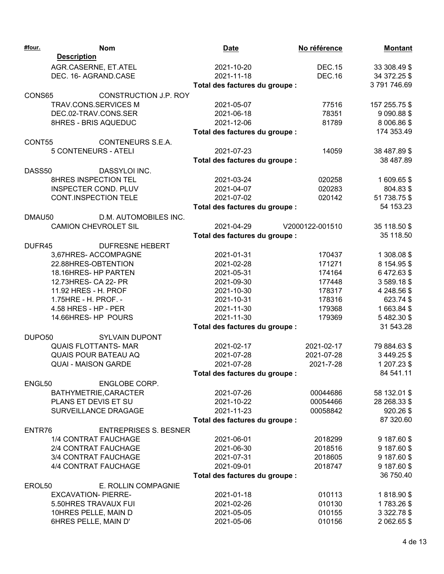| <b>Description</b><br>AGR.CASERNE, ET.ATEL<br>2021-10-20<br><b>DEC.15</b><br>33 308.49 \$<br>DEC. 16- AGRAND.CASE<br><b>DEC.16</b><br>2021-11-18<br>34 372.25 \$<br>3791746.69<br>Total des factures du groupe :<br>CONS65<br>CONSTRUCTION J.P. ROY<br>2021-05-07<br>TRAV.CONS.SERVICES M<br>77516<br>157 255.75 \$<br>DEC.02-TRAV.CONS.SER<br>2021-06-18<br>78351<br>9 090.88 \$<br>8HRES - BRIS AQUEDUC<br>2021-12-06<br>81789<br>8 006.86 \$<br>174 353.49<br>Total des factures du groupe :<br>CONT55<br>CONTENEURS S.E.A.<br><b>5 CONTENEURS - ATELI</b><br>2021-07-23<br>38 487.89 \$<br>14059<br>38 487.89<br>Total des factures du groupe :<br>DASS50<br>DASSYLOI INC.<br>8HRES INSPECTION TEL<br>2021-03-24<br>020258<br>1609.65\$<br><b>INSPECTER COND. PLUV</b><br>2021-04-07<br>020283<br>804.83 \$<br><b>CONT.INSPECTION TELE</b><br>2021-07-02<br>020142<br>51 738.75 \$<br>54 153.23<br>Total des factures du groupe :<br>D.M. AUTOMOBILES INC.<br>DMAU50<br><b>CAMION CHEVROLET SIL</b><br>2021-04-29<br>V2000122-001510<br>35 118.50 \$<br>35 118.50<br>Total des factures du groupe :<br>DUFR45<br><b>DUFRESNE HEBERT</b><br>3,67HRES-ACCOMPAGNE<br>2021-01-31<br>170437<br>1 308.08 \$<br>171271<br>22.88HRES-OBTENTION<br>2021-02-28<br>8 154.95 \$<br>18.16HRES-HP PARTEN<br>6472.63\$<br>2021-05-31<br>174164<br>12.73HRES- CA 22- PR<br>2021-09-30<br>177448<br>3589.18\$<br>4 248.56 \$<br>11.92 HRES - H. PROF<br>2021-10-30<br>178317<br>1.75HRE - H. PROF. -<br>2021-10-31<br>178316<br>623.74 \$<br>4.58 HRES - HP - PER<br>2021-11-30<br>179368<br>1663.84\$<br>14.66HRES-HP POURS<br>2021-11-30<br>179369<br>5482.30\$<br>31 543.28<br>Total des factures du groupe :<br><b>SYLVAIN DUPONT</b><br>DUPO <sub>50</sub><br><b>QUAIS FLOTTANTS- MAR</b><br>2021-02-17<br>2021-02-17<br>79 884.63 \$<br><b>QUAIS POUR BATEAU AQ</b><br>2021-07-28<br>2021-07-28<br>3 449.25 \$<br><b>QUAI - MAISON GARDE</b><br>2021-07-28<br>2021-7-28<br>1 207.23 \$<br>84 541.11<br>Total des factures du groupe :<br>ENGL50<br><b>ENGLOBE CORP.</b><br>BATHYMETRIE, CARACTER<br>58 132.01 \$<br>2021-07-26<br>00044686<br>PLANS ET DEVIS ET SU<br>2021-10-22<br>00054466<br>28 268.33 \$<br>SURVEILLANCE DRAGAGE<br>2021-11-23<br>920.26 \$<br>00058842<br>87 320.60<br>Total des factures du groupe :<br>ENTR76<br><b>ENTREPRISES S. BESNER</b><br>2021-06-01<br>9 187.60 \$<br>1/4 CONTRAT FAUCHAGE<br>2018299<br>2/4 CONTRAT FAUCHAGE<br>2021-06-30<br>2018516<br>9 187.60 \$<br>3/4 CONTRAT FAUCHAGE<br>2018605<br>9 187.60 \$<br>2021-07-31<br>4/4 CONTRAT FAUCHAGE<br>2021-09-01<br>9 187.60 \$<br>2018747<br>36 750.40<br>Total des factures du groupe :<br>EROL50<br>E. ROLLIN COMPAGNIE<br><b>EXCAVATION- PIERRE-</b><br>2021-01-18<br>010113<br>1818.90\$<br>2021-02-26<br>010130<br>1783.26 \$<br>5.50HRES TRAVAUX FUI<br>2021-05-05<br>010155<br>3 322.78 \$<br>10HRES PELLE, MAIN D | #four. | <b>Nom</b>           | <b>Date</b> | No référence | <b>Montant</b> |
|---------------------------------------------------------------------------------------------------------------------------------------------------------------------------------------------------------------------------------------------------------------------------------------------------------------------------------------------------------------------------------------------------------------------------------------------------------------------------------------------------------------------------------------------------------------------------------------------------------------------------------------------------------------------------------------------------------------------------------------------------------------------------------------------------------------------------------------------------------------------------------------------------------------------------------------------------------------------------------------------------------------------------------------------------------------------------------------------------------------------------------------------------------------------------------------------------------------------------------------------------------------------------------------------------------------------------------------------------------------------------------------------------------------------------------------------------------------------------------------------------------------------------------------------------------------------------------------------------------------------------------------------------------------------------------------------------------------------------------------------------------------------------------------------------------------------------------------------------------------------------------------------------------------------------------------------------------------------------------------------------------------------------------------------------------------------------------------------------------------------------------------------------------------------------------------------------------------------------------------------------------------------------------------------------------------------------------------------------------------------------------------------------------------------------------------------------------------------------------------------------------------------------------------------------------------------------------------------------------------------------------------------------------------------------------------------------------------------------------------------------------------------------------------------------------------------------------------------------------------------------------------------------------------|--------|----------------------|-------------|--------------|----------------|
|                                                                                                                                                                                                                                                                                                                                                                                                                                                                                                                                                                                                                                                                                                                                                                                                                                                                                                                                                                                                                                                                                                                                                                                                                                                                                                                                                                                                                                                                                                                                                                                                                                                                                                                                                                                                                                                                                                                                                                                                                                                                                                                                                                                                                                                                                                                                                                                                                                                                                                                                                                                                                                                                                                                                                                                                                                                                                                               |        |                      |             |              |                |
|                                                                                                                                                                                                                                                                                                                                                                                                                                                                                                                                                                                                                                                                                                                                                                                                                                                                                                                                                                                                                                                                                                                                                                                                                                                                                                                                                                                                                                                                                                                                                                                                                                                                                                                                                                                                                                                                                                                                                                                                                                                                                                                                                                                                                                                                                                                                                                                                                                                                                                                                                                                                                                                                                                                                                                                                                                                                                                               |        |                      |             |              |                |
|                                                                                                                                                                                                                                                                                                                                                                                                                                                                                                                                                                                                                                                                                                                                                                                                                                                                                                                                                                                                                                                                                                                                                                                                                                                                                                                                                                                                                                                                                                                                                                                                                                                                                                                                                                                                                                                                                                                                                                                                                                                                                                                                                                                                                                                                                                                                                                                                                                                                                                                                                                                                                                                                                                                                                                                                                                                                                                               |        |                      |             |              |                |
|                                                                                                                                                                                                                                                                                                                                                                                                                                                                                                                                                                                                                                                                                                                                                                                                                                                                                                                                                                                                                                                                                                                                                                                                                                                                                                                                                                                                                                                                                                                                                                                                                                                                                                                                                                                                                                                                                                                                                                                                                                                                                                                                                                                                                                                                                                                                                                                                                                                                                                                                                                                                                                                                                                                                                                                                                                                                                                               |        |                      |             |              |                |
|                                                                                                                                                                                                                                                                                                                                                                                                                                                                                                                                                                                                                                                                                                                                                                                                                                                                                                                                                                                                                                                                                                                                                                                                                                                                                                                                                                                                                                                                                                                                                                                                                                                                                                                                                                                                                                                                                                                                                                                                                                                                                                                                                                                                                                                                                                                                                                                                                                                                                                                                                                                                                                                                                                                                                                                                                                                                                                               |        |                      |             |              |                |
|                                                                                                                                                                                                                                                                                                                                                                                                                                                                                                                                                                                                                                                                                                                                                                                                                                                                                                                                                                                                                                                                                                                                                                                                                                                                                                                                                                                                                                                                                                                                                                                                                                                                                                                                                                                                                                                                                                                                                                                                                                                                                                                                                                                                                                                                                                                                                                                                                                                                                                                                                                                                                                                                                                                                                                                                                                                                                                               |        |                      |             |              |                |
|                                                                                                                                                                                                                                                                                                                                                                                                                                                                                                                                                                                                                                                                                                                                                                                                                                                                                                                                                                                                                                                                                                                                                                                                                                                                                                                                                                                                                                                                                                                                                                                                                                                                                                                                                                                                                                                                                                                                                                                                                                                                                                                                                                                                                                                                                                                                                                                                                                                                                                                                                                                                                                                                                                                                                                                                                                                                                                               |        |                      |             |              |                |
|                                                                                                                                                                                                                                                                                                                                                                                                                                                                                                                                                                                                                                                                                                                                                                                                                                                                                                                                                                                                                                                                                                                                                                                                                                                                                                                                                                                                                                                                                                                                                                                                                                                                                                                                                                                                                                                                                                                                                                                                                                                                                                                                                                                                                                                                                                                                                                                                                                                                                                                                                                                                                                                                                                                                                                                                                                                                                                               |        |                      |             |              |                |
|                                                                                                                                                                                                                                                                                                                                                                                                                                                                                                                                                                                                                                                                                                                                                                                                                                                                                                                                                                                                                                                                                                                                                                                                                                                                                                                                                                                                                                                                                                                                                                                                                                                                                                                                                                                                                                                                                                                                                                                                                                                                                                                                                                                                                                                                                                                                                                                                                                                                                                                                                                                                                                                                                                                                                                                                                                                                                                               |        |                      |             |              |                |
|                                                                                                                                                                                                                                                                                                                                                                                                                                                                                                                                                                                                                                                                                                                                                                                                                                                                                                                                                                                                                                                                                                                                                                                                                                                                                                                                                                                                                                                                                                                                                                                                                                                                                                                                                                                                                                                                                                                                                                                                                                                                                                                                                                                                                                                                                                                                                                                                                                                                                                                                                                                                                                                                                                                                                                                                                                                                                                               |        |                      |             |              |                |
|                                                                                                                                                                                                                                                                                                                                                                                                                                                                                                                                                                                                                                                                                                                                                                                                                                                                                                                                                                                                                                                                                                                                                                                                                                                                                                                                                                                                                                                                                                                                                                                                                                                                                                                                                                                                                                                                                                                                                                                                                                                                                                                                                                                                                                                                                                                                                                                                                                                                                                                                                                                                                                                                                                                                                                                                                                                                                                               |        |                      |             |              |                |
|                                                                                                                                                                                                                                                                                                                                                                                                                                                                                                                                                                                                                                                                                                                                                                                                                                                                                                                                                                                                                                                                                                                                                                                                                                                                                                                                                                                                                                                                                                                                                                                                                                                                                                                                                                                                                                                                                                                                                                                                                                                                                                                                                                                                                                                                                                                                                                                                                                                                                                                                                                                                                                                                                                                                                                                                                                                                                                               |        |                      |             |              |                |
|                                                                                                                                                                                                                                                                                                                                                                                                                                                                                                                                                                                                                                                                                                                                                                                                                                                                                                                                                                                                                                                                                                                                                                                                                                                                                                                                                                                                                                                                                                                                                                                                                                                                                                                                                                                                                                                                                                                                                                                                                                                                                                                                                                                                                                                                                                                                                                                                                                                                                                                                                                                                                                                                                                                                                                                                                                                                                                               |        |                      |             |              |                |
|                                                                                                                                                                                                                                                                                                                                                                                                                                                                                                                                                                                                                                                                                                                                                                                                                                                                                                                                                                                                                                                                                                                                                                                                                                                                                                                                                                                                                                                                                                                                                                                                                                                                                                                                                                                                                                                                                                                                                                                                                                                                                                                                                                                                                                                                                                                                                                                                                                                                                                                                                                                                                                                                                                                                                                                                                                                                                                               |        |                      |             |              |                |
|                                                                                                                                                                                                                                                                                                                                                                                                                                                                                                                                                                                                                                                                                                                                                                                                                                                                                                                                                                                                                                                                                                                                                                                                                                                                                                                                                                                                                                                                                                                                                                                                                                                                                                                                                                                                                                                                                                                                                                                                                                                                                                                                                                                                                                                                                                                                                                                                                                                                                                                                                                                                                                                                                                                                                                                                                                                                                                               |        |                      |             |              |                |
|                                                                                                                                                                                                                                                                                                                                                                                                                                                                                                                                                                                                                                                                                                                                                                                                                                                                                                                                                                                                                                                                                                                                                                                                                                                                                                                                                                                                                                                                                                                                                                                                                                                                                                                                                                                                                                                                                                                                                                                                                                                                                                                                                                                                                                                                                                                                                                                                                                                                                                                                                                                                                                                                                                                                                                                                                                                                                                               |        |                      |             |              |                |
|                                                                                                                                                                                                                                                                                                                                                                                                                                                                                                                                                                                                                                                                                                                                                                                                                                                                                                                                                                                                                                                                                                                                                                                                                                                                                                                                                                                                                                                                                                                                                                                                                                                                                                                                                                                                                                                                                                                                                                                                                                                                                                                                                                                                                                                                                                                                                                                                                                                                                                                                                                                                                                                                                                                                                                                                                                                                                                               |        |                      |             |              |                |
|                                                                                                                                                                                                                                                                                                                                                                                                                                                                                                                                                                                                                                                                                                                                                                                                                                                                                                                                                                                                                                                                                                                                                                                                                                                                                                                                                                                                                                                                                                                                                                                                                                                                                                                                                                                                                                                                                                                                                                                                                                                                                                                                                                                                                                                                                                                                                                                                                                                                                                                                                                                                                                                                                                                                                                                                                                                                                                               |        |                      |             |              |                |
|                                                                                                                                                                                                                                                                                                                                                                                                                                                                                                                                                                                                                                                                                                                                                                                                                                                                                                                                                                                                                                                                                                                                                                                                                                                                                                                                                                                                                                                                                                                                                                                                                                                                                                                                                                                                                                                                                                                                                                                                                                                                                                                                                                                                                                                                                                                                                                                                                                                                                                                                                                                                                                                                                                                                                                                                                                                                                                               |        |                      |             |              |                |
|                                                                                                                                                                                                                                                                                                                                                                                                                                                                                                                                                                                                                                                                                                                                                                                                                                                                                                                                                                                                                                                                                                                                                                                                                                                                                                                                                                                                                                                                                                                                                                                                                                                                                                                                                                                                                                                                                                                                                                                                                                                                                                                                                                                                                                                                                                                                                                                                                                                                                                                                                                                                                                                                                                                                                                                                                                                                                                               |        |                      |             |              |                |
|                                                                                                                                                                                                                                                                                                                                                                                                                                                                                                                                                                                                                                                                                                                                                                                                                                                                                                                                                                                                                                                                                                                                                                                                                                                                                                                                                                                                                                                                                                                                                                                                                                                                                                                                                                                                                                                                                                                                                                                                                                                                                                                                                                                                                                                                                                                                                                                                                                                                                                                                                                                                                                                                                                                                                                                                                                                                                                               |        |                      |             |              |                |
|                                                                                                                                                                                                                                                                                                                                                                                                                                                                                                                                                                                                                                                                                                                                                                                                                                                                                                                                                                                                                                                                                                                                                                                                                                                                                                                                                                                                                                                                                                                                                                                                                                                                                                                                                                                                                                                                                                                                                                                                                                                                                                                                                                                                                                                                                                                                                                                                                                                                                                                                                                                                                                                                                                                                                                                                                                                                                                               |        |                      |             |              |                |
|                                                                                                                                                                                                                                                                                                                                                                                                                                                                                                                                                                                                                                                                                                                                                                                                                                                                                                                                                                                                                                                                                                                                                                                                                                                                                                                                                                                                                                                                                                                                                                                                                                                                                                                                                                                                                                                                                                                                                                                                                                                                                                                                                                                                                                                                                                                                                                                                                                                                                                                                                                                                                                                                                                                                                                                                                                                                                                               |        |                      |             |              |                |
|                                                                                                                                                                                                                                                                                                                                                                                                                                                                                                                                                                                                                                                                                                                                                                                                                                                                                                                                                                                                                                                                                                                                                                                                                                                                                                                                                                                                                                                                                                                                                                                                                                                                                                                                                                                                                                                                                                                                                                                                                                                                                                                                                                                                                                                                                                                                                                                                                                                                                                                                                                                                                                                                                                                                                                                                                                                                                                               |        |                      |             |              |                |
|                                                                                                                                                                                                                                                                                                                                                                                                                                                                                                                                                                                                                                                                                                                                                                                                                                                                                                                                                                                                                                                                                                                                                                                                                                                                                                                                                                                                                                                                                                                                                                                                                                                                                                                                                                                                                                                                                                                                                                                                                                                                                                                                                                                                                                                                                                                                                                                                                                                                                                                                                                                                                                                                                                                                                                                                                                                                                                               |        |                      |             |              |                |
|                                                                                                                                                                                                                                                                                                                                                                                                                                                                                                                                                                                                                                                                                                                                                                                                                                                                                                                                                                                                                                                                                                                                                                                                                                                                                                                                                                                                                                                                                                                                                                                                                                                                                                                                                                                                                                                                                                                                                                                                                                                                                                                                                                                                                                                                                                                                                                                                                                                                                                                                                                                                                                                                                                                                                                                                                                                                                                               |        |                      |             |              |                |
|                                                                                                                                                                                                                                                                                                                                                                                                                                                                                                                                                                                                                                                                                                                                                                                                                                                                                                                                                                                                                                                                                                                                                                                                                                                                                                                                                                                                                                                                                                                                                                                                                                                                                                                                                                                                                                                                                                                                                                                                                                                                                                                                                                                                                                                                                                                                                                                                                                                                                                                                                                                                                                                                                                                                                                                                                                                                                                               |        |                      |             |              |                |
|                                                                                                                                                                                                                                                                                                                                                                                                                                                                                                                                                                                                                                                                                                                                                                                                                                                                                                                                                                                                                                                                                                                                                                                                                                                                                                                                                                                                                                                                                                                                                                                                                                                                                                                                                                                                                                                                                                                                                                                                                                                                                                                                                                                                                                                                                                                                                                                                                                                                                                                                                                                                                                                                                                                                                                                                                                                                                                               |        |                      |             |              |                |
|                                                                                                                                                                                                                                                                                                                                                                                                                                                                                                                                                                                                                                                                                                                                                                                                                                                                                                                                                                                                                                                                                                                                                                                                                                                                                                                                                                                                                                                                                                                                                                                                                                                                                                                                                                                                                                                                                                                                                                                                                                                                                                                                                                                                                                                                                                                                                                                                                                                                                                                                                                                                                                                                                                                                                                                                                                                                                                               |        |                      |             |              |                |
|                                                                                                                                                                                                                                                                                                                                                                                                                                                                                                                                                                                                                                                                                                                                                                                                                                                                                                                                                                                                                                                                                                                                                                                                                                                                                                                                                                                                                                                                                                                                                                                                                                                                                                                                                                                                                                                                                                                                                                                                                                                                                                                                                                                                                                                                                                                                                                                                                                                                                                                                                                                                                                                                                                                                                                                                                                                                                                               |        |                      |             |              |                |
|                                                                                                                                                                                                                                                                                                                                                                                                                                                                                                                                                                                                                                                                                                                                                                                                                                                                                                                                                                                                                                                                                                                                                                                                                                                                                                                                                                                                                                                                                                                                                                                                                                                                                                                                                                                                                                                                                                                                                                                                                                                                                                                                                                                                                                                                                                                                                                                                                                                                                                                                                                                                                                                                                                                                                                                                                                                                                                               |        |                      |             |              |                |
|                                                                                                                                                                                                                                                                                                                                                                                                                                                                                                                                                                                                                                                                                                                                                                                                                                                                                                                                                                                                                                                                                                                                                                                                                                                                                                                                                                                                                                                                                                                                                                                                                                                                                                                                                                                                                                                                                                                                                                                                                                                                                                                                                                                                                                                                                                                                                                                                                                                                                                                                                                                                                                                                                                                                                                                                                                                                                                               |        |                      |             |              |                |
|                                                                                                                                                                                                                                                                                                                                                                                                                                                                                                                                                                                                                                                                                                                                                                                                                                                                                                                                                                                                                                                                                                                                                                                                                                                                                                                                                                                                                                                                                                                                                                                                                                                                                                                                                                                                                                                                                                                                                                                                                                                                                                                                                                                                                                                                                                                                                                                                                                                                                                                                                                                                                                                                                                                                                                                                                                                                                                               |        |                      |             |              |                |
|                                                                                                                                                                                                                                                                                                                                                                                                                                                                                                                                                                                                                                                                                                                                                                                                                                                                                                                                                                                                                                                                                                                                                                                                                                                                                                                                                                                                                                                                                                                                                                                                                                                                                                                                                                                                                                                                                                                                                                                                                                                                                                                                                                                                                                                                                                                                                                                                                                                                                                                                                                                                                                                                                                                                                                                                                                                                                                               |        |                      |             |              |                |
|                                                                                                                                                                                                                                                                                                                                                                                                                                                                                                                                                                                                                                                                                                                                                                                                                                                                                                                                                                                                                                                                                                                                                                                                                                                                                                                                                                                                                                                                                                                                                                                                                                                                                                                                                                                                                                                                                                                                                                                                                                                                                                                                                                                                                                                                                                                                                                                                                                                                                                                                                                                                                                                                                                                                                                                                                                                                                                               |        |                      |             |              |                |
|                                                                                                                                                                                                                                                                                                                                                                                                                                                                                                                                                                                                                                                                                                                                                                                                                                                                                                                                                                                                                                                                                                                                                                                                                                                                                                                                                                                                                                                                                                                                                                                                                                                                                                                                                                                                                                                                                                                                                                                                                                                                                                                                                                                                                                                                                                                                                                                                                                                                                                                                                                                                                                                                                                                                                                                                                                                                                                               |        |                      |             |              |                |
|                                                                                                                                                                                                                                                                                                                                                                                                                                                                                                                                                                                                                                                                                                                                                                                                                                                                                                                                                                                                                                                                                                                                                                                                                                                                                                                                                                                                                                                                                                                                                                                                                                                                                                                                                                                                                                                                                                                                                                                                                                                                                                                                                                                                                                                                                                                                                                                                                                                                                                                                                                                                                                                                                                                                                                                                                                                                                                               |        |                      |             |              |                |
|                                                                                                                                                                                                                                                                                                                                                                                                                                                                                                                                                                                                                                                                                                                                                                                                                                                                                                                                                                                                                                                                                                                                                                                                                                                                                                                                                                                                                                                                                                                                                                                                                                                                                                                                                                                                                                                                                                                                                                                                                                                                                                                                                                                                                                                                                                                                                                                                                                                                                                                                                                                                                                                                                                                                                                                                                                                                                                               |        |                      |             |              |                |
|                                                                                                                                                                                                                                                                                                                                                                                                                                                                                                                                                                                                                                                                                                                                                                                                                                                                                                                                                                                                                                                                                                                                                                                                                                                                                                                                                                                                                                                                                                                                                                                                                                                                                                                                                                                                                                                                                                                                                                                                                                                                                                                                                                                                                                                                                                                                                                                                                                                                                                                                                                                                                                                                                                                                                                                                                                                                                                               |        |                      |             |              |                |
|                                                                                                                                                                                                                                                                                                                                                                                                                                                                                                                                                                                                                                                                                                                                                                                                                                                                                                                                                                                                                                                                                                                                                                                                                                                                                                                                                                                                                                                                                                                                                                                                                                                                                                                                                                                                                                                                                                                                                                                                                                                                                                                                                                                                                                                                                                                                                                                                                                                                                                                                                                                                                                                                                                                                                                                                                                                                                                               |        |                      |             |              |                |
|                                                                                                                                                                                                                                                                                                                                                                                                                                                                                                                                                                                                                                                                                                                                                                                                                                                                                                                                                                                                                                                                                                                                                                                                                                                                                                                                                                                                                                                                                                                                                                                                                                                                                                                                                                                                                                                                                                                                                                                                                                                                                                                                                                                                                                                                                                                                                                                                                                                                                                                                                                                                                                                                                                                                                                                                                                                                                                               |        |                      |             |              |                |
|                                                                                                                                                                                                                                                                                                                                                                                                                                                                                                                                                                                                                                                                                                                                                                                                                                                                                                                                                                                                                                                                                                                                                                                                                                                                                                                                                                                                                                                                                                                                                                                                                                                                                                                                                                                                                                                                                                                                                                                                                                                                                                                                                                                                                                                                                                                                                                                                                                                                                                                                                                                                                                                                                                                                                                                                                                                                                                               |        |                      |             |              |                |
|                                                                                                                                                                                                                                                                                                                                                                                                                                                                                                                                                                                                                                                                                                                                                                                                                                                                                                                                                                                                                                                                                                                                                                                                                                                                                                                                                                                                                                                                                                                                                                                                                                                                                                                                                                                                                                                                                                                                                                                                                                                                                                                                                                                                                                                                                                                                                                                                                                                                                                                                                                                                                                                                                                                                                                                                                                                                                                               |        |                      |             |              |                |
|                                                                                                                                                                                                                                                                                                                                                                                                                                                                                                                                                                                                                                                                                                                                                                                                                                                                                                                                                                                                                                                                                                                                                                                                                                                                                                                                                                                                                                                                                                                                                                                                                                                                                                                                                                                                                                                                                                                                                                                                                                                                                                                                                                                                                                                                                                                                                                                                                                                                                                                                                                                                                                                                                                                                                                                                                                                                                                               |        |                      |             |              |                |
|                                                                                                                                                                                                                                                                                                                                                                                                                                                                                                                                                                                                                                                                                                                                                                                                                                                                                                                                                                                                                                                                                                                                                                                                                                                                                                                                                                                                                                                                                                                                                                                                                                                                                                                                                                                                                                                                                                                                                                                                                                                                                                                                                                                                                                                                                                                                                                                                                                                                                                                                                                                                                                                                                                                                                                                                                                                                                                               |        |                      |             |              |                |
|                                                                                                                                                                                                                                                                                                                                                                                                                                                                                                                                                                                                                                                                                                                                                                                                                                                                                                                                                                                                                                                                                                                                                                                                                                                                                                                                                                                                                                                                                                                                                                                                                                                                                                                                                                                                                                                                                                                                                                                                                                                                                                                                                                                                                                                                                                                                                                                                                                                                                                                                                                                                                                                                                                                                                                                                                                                                                                               |        |                      |             |              |                |
|                                                                                                                                                                                                                                                                                                                                                                                                                                                                                                                                                                                                                                                                                                                                                                                                                                                                                                                                                                                                                                                                                                                                                                                                                                                                                                                                                                                                                                                                                                                                                                                                                                                                                                                                                                                                                                                                                                                                                                                                                                                                                                                                                                                                                                                                                                                                                                                                                                                                                                                                                                                                                                                                                                                                                                                                                                                                                                               |        |                      |             |              |                |
|                                                                                                                                                                                                                                                                                                                                                                                                                                                                                                                                                                                                                                                                                                                                                                                                                                                                                                                                                                                                                                                                                                                                                                                                                                                                                                                                                                                                                                                                                                                                                                                                                                                                                                                                                                                                                                                                                                                                                                                                                                                                                                                                                                                                                                                                                                                                                                                                                                                                                                                                                                                                                                                                                                                                                                                                                                                                                                               |        |                      |             |              |                |
|                                                                                                                                                                                                                                                                                                                                                                                                                                                                                                                                                                                                                                                                                                                                                                                                                                                                                                                                                                                                                                                                                                                                                                                                                                                                                                                                                                                                                                                                                                                                                                                                                                                                                                                                                                                                                                                                                                                                                                                                                                                                                                                                                                                                                                                                                                                                                                                                                                                                                                                                                                                                                                                                                                                                                                                                                                                                                                               |        |                      |             |              |                |
|                                                                                                                                                                                                                                                                                                                                                                                                                                                                                                                                                                                                                                                                                                                                                                                                                                                                                                                                                                                                                                                                                                                                                                                                                                                                                                                                                                                                                                                                                                                                                                                                                                                                                                                                                                                                                                                                                                                                                                                                                                                                                                                                                                                                                                                                                                                                                                                                                                                                                                                                                                                                                                                                                                                                                                                                                                                                                                               |        |                      |             |              |                |
|                                                                                                                                                                                                                                                                                                                                                                                                                                                                                                                                                                                                                                                                                                                                                                                                                                                                                                                                                                                                                                                                                                                                                                                                                                                                                                                                                                                                                                                                                                                                                                                                                                                                                                                                                                                                                                                                                                                                                                                                                                                                                                                                                                                                                                                                                                                                                                                                                                                                                                                                                                                                                                                                                                                                                                                                                                                                                                               |        | 6HRES PELLE, MAIN D' | 2021-05-06  | 010156       | 2 062.65 \$    |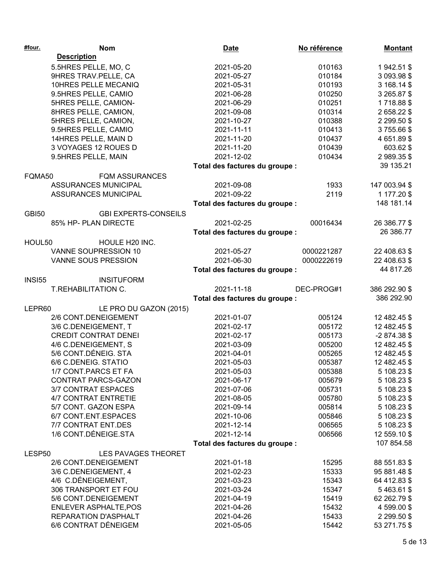| #four.        | <b>Nom</b>                   | <b>Date</b>                    | No référence | <b>Montant</b> |
|---------------|------------------------------|--------------------------------|--------------|----------------|
|               | <b>Description</b>           |                                |              |                |
|               | 5.5HRES PELLE, MO, C         | 2021-05-20                     | 010163       | 1942.51 \$     |
|               | 9HRES TRAV.PELLE, CA         | 2021-05-27                     | 010184       | 3 093.98 \$    |
|               | 10HRES PELLE MECANIQ         | 2021-05-31                     | 010193       | 3 168.14 \$    |
|               | 9.5HRES PELLE, CAMIO         | 2021-06-28                     | 010250       | 3 265.87 \$    |
|               | 5HRES PELLE, CAMION-         | 2021-06-29                     | 010251       | 1718.88\$      |
|               | 8HRES PELLE, CAMION,         | 2021-09-08                     | 010314       | 2658.22\$      |
|               | 5HRES PELLE, CAMION,         | 2021-10-27                     | 010388       | 2 299.50 \$    |
|               | 9.5HRES PELLE, CAMIO         | 2021-11-11                     | 010413       | 3755.66\$      |
|               | 14HRES PELLE, MAIN D         | 2021-11-20                     | 010437       | 4 651.89 \$    |
|               | 3 VOYAGES 12 ROUES D         | 2021-11-20                     | 010439       | 603.62 \$      |
|               | 9.5HRES PELLE, MAIN          | 2021-12-02                     | 010434       | 2989.35\$      |
|               |                              | Total des factures du groupe : |              | 39 135.21      |
| FQMA50        | <b>FQM ASSURANCES</b>        |                                |              |                |
|               | <b>ASSURANCES MUNICIPAL</b>  | 2021-09-08                     | 1933         | 147 003.94 \$  |
|               | <b>ASSURANCES MUNICIPAL</b>  | 2021-09-22                     | 2119         | 1 177.20 \$    |
|               |                              | Total des factures du groupe : |              | 148 181.14     |
|               |                              |                                |              |                |
| <b>GBI50</b>  | <b>GBI EXPERTS-CONSEILS</b>  |                                |              |                |
|               | 85% HP- PLAN DIRECTE         | 2021-02-25                     | 00016434     | 26 386.77 \$   |
|               |                              | Total des factures du groupe : |              | 26 386.77      |
| HOUL50        | HOULE H20 INC.               |                                |              |                |
|               | VANNE SOUPRESSION 10         | 2021-05-27                     | 0000221287   | 22 408.63 \$   |
|               | VANNE SOUS PRESSION          | 2021-06-30                     | 0000222619   | 22 408.63 \$   |
|               |                              | Total des factures du groupe : |              | 44 817.26      |
| <b>INSI55</b> | <b>INSITUFORM</b>            |                                |              |                |
|               | T.REHABILITATION C.          | 2021-11-18                     | DEC-PROG#1   | 386 292.90 \$  |
|               |                              | Total des factures du groupe : |              | 386 292.90     |
| LEPR60        | LE PRO DU GAZON (2015)       |                                |              |                |
|               | 2/6 CONT.DENEIGEMENT         | 2021-01-07                     | 005124       | 12 482.45 \$   |
|               | 3/6 C.DENEIGEMENT, T         | 2021-02-17                     | 005172       | 12 482.45 \$   |
|               | <b>CREDIT CONTRAT DENEI</b>  | 2021-02-17                     | 005173       | $-2874.38$ \$  |
|               | 4/6 C.DENEIGEMENT, S         | 2021-03-09                     | 005200       | 12 482.45 \$   |
|               | 5/6 CONT.DÉNEIG. STA         | 2021-04-01                     | 005265       | 12 482.45 \$   |
|               | 6/6 C.DENEIG. STATIO         | 2021-05-03                     | 005387       | 12 482.45 \$   |
|               | 1/7 CONT.PARCS ET FA         | 2021-05-03                     | 005388       | 5 108.23 \$    |
|               | CONTRAT PARCS-GAZON          | 2021-06-17                     | 005679       | 5 108.23 \$    |
|               | 3/7 CONTRAT ESPACES          | 2021-07-06                     | 005731       | 5 108.23 \$    |
|               | <b>4/7 CONTRAT ENTRETIE</b>  | 2021-08-05                     | 005780       | 5 108.23 \$    |
|               | 5/7 CONT. GAZON ESPA         | 2021-09-14                     | 005814       | 5 108.23 \$    |
|               | 6/7 CONT.ENT.ESPACES         | 2021-10-06                     | 005846       | 5 108.23 \$    |
|               | 7/7 CONTRAT ENT.DES          | 2021-12-14                     | 006565       | 5 108.23 \$    |
|               | 1/6 CONT.DÉNEIGE.STA         | 2021-12-14                     | 006566       | 12 559.10 \$   |
|               |                              | Total des factures du groupe : |              | 107 854.58     |
|               |                              |                                |              |                |
| LESP50        | LES PAVAGES THEORET          |                                |              |                |
|               | 2/6 CONT.DENEIGEMENT         | 2021-01-18                     | 15295        | 88 551.83 \$   |
|               | 3/6 C.DENEIGEMENT, 4         | 2021-02-23                     | 15333        | 95 881.48 \$   |
|               | 4/6 C.DÉNEIGEMENT,           | 2021-03-23                     | 15343        | 64 412.83 \$   |
|               | 306 TRANSPORT ET FOU         | 2021-03-24                     | 15347        | 5463.61\$      |
|               | 5/6 CONT.DENEIGEMENT         | 2021-04-19                     | 15419        | 62 262.79 \$   |
|               | <b>ENLEVER ASPHALTE, POS</b> | 2021-04-26                     | 15432        | 4 599.00 \$    |
|               | REPARATION D'ASPHALT         | 2021-04-26                     | 15433        | 2 299.50 \$    |
|               | 6/6 CONTRAT DÉNEIGEM         | 2021-05-05                     | 15442        | 53 271.75 \$   |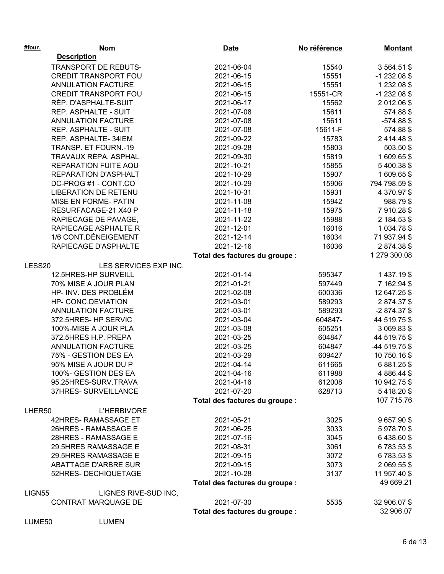| #four.             | <b>Nom</b>                  | <b>Date</b>                    | No référence | <b>Montant</b>          |
|--------------------|-----------------------------|--------------------------------|--------------|-------------------------|
|                    | <b>Description</b>          |                                |              |                         |
|                    | TRANSPORT DE REBUTS-        | 2021-06-04                     | 15540        | 3564.51\$               |
|                    | <b>CREDIT TRANSPORT FOU</b> | 2021-06-15                     | 15551        | $-1232.08$ \$           |
|                    | <b>ANNULATION FACTURE</b>   | 2021-06-15                     | 15551        | 1 232.08 \$             |
|                    | <b>CREDIT TRANSPORT FOU</b> | 2021-06-15                     | 15551-CR     | $-1232.08$ \$           |
|                    | RÉP. D'ASPHALTE-SUIT        | 2021-06-17                     | 15562        | 2012.06\$               |
|                    | REP. ASPHALTE - SUIT        | 2021-07-08                     | 15611        | 574.88 \$               |
|                    | <b>ANNULATION FACTURE</b>   | 2021-07-08                     | 15611        | $-574.88$ \$            |
|                    | REP. ASPHALTE - SUIT        | 2021-07-08                     | 15611-F      | 574.88 \$               |
|                    | REP. ASPHALTE-34IEM         | 2021-09-22                     | 15783        | 2414.48\$               |
|                    | TRANSP. ET FOURN.-19        | 2021-09-28                     | 15803        | 503.50 \$               |
|                    | TRAVAUX RÉPA. ASPHAL        | 2021-09-30                     | 15819        | 1609.65\$               |
|                    | REPARATION FUITE AQU        | 2021-10-21                     | 15855        | 5400.38\$               |
|                    | REPARATION D'ASPHALT        | 2021-10-29                     | 15907        | 1609.65\$               |
|                    | DC-PROG #1 - CONT.CO        | 2021-10-29                     | 15906        | 794 798.59 \$           |
|                    | <b>LIBERATION DE RETENU</b> | 2021-10-31                     | 15931        | 4 370.97 \$             |
|                    | MISE EN FORME- PATIN        | 2021-11-08                     | 15942        | 988.79 \$               |
|                    | RESURFACAGE-21 X40 P        | 2021-11-18                     | 15975        | 7910.28\$               |
|                    | RAPIECAGE DE PAVAGE,        | 2021-11-22                     | 15988        | 2 184.53 \$             |
|                    | RAPIECAGE ASPHALTE R        | 2021-12-01                     | 16016        | 1034.78\$               |
|                    | 1/6 CONT.DÉNEIGEMENT        | 2021-12-14                     | 16034        | 71 937.94 \$            |
|                    | RAPIECAGE D'ASPHALTE        | 2021-12-16                     | 16036        | 2874.38\$               |
|                    |                             | Total des factures du groupe : |              | 1 279 300.08            |
| LESS20             | LES SERVICES EXP INC.       |                                |              |                         |
|                    | 12.5HRES-HP SURVEILL        | 2021-01-14                     | 595347       | 1437.19\$               |
|                    | 70% MISE A JOUR PLAN        | 2021-01-21                     | 597449       | 7 162.94 \$             |
|                    | HP- INV. DES PROBLÉM        | 2021-02-08                     | 600336       | 12 647.25 \$            |
|                    | HP- CONC.DEVIATION          | 2021-03-01                     | 589293       | 2874.37\$               |
|                    | ANNULATION FACTURE          | 2021-03-01                     | 589293       | $-2874.37$ \$           |
|                    | 372.5HRES- HP SERVIC        | 2021-03-04                     | 604847-      | 44 519.75 \$            |
|                    | 100%-MISE A JOUR PLA        | 2021-03-08                     | 605251       | 3 069.83 \$             |
|                    | 372.5HRES H.P. PREPA        | 2021-03-25                     | 604847       | 44 519.75 \$            |
|                    | <b>ANNULATION FACTURE</b>   | 2021-03-25                     | 604847       | -44 519.75 \$           |
|                    | 75% - GESTION DES EA        | 2021-03-29                     | 609427       | 10 750.16 \$            |
|                    | 95% MISE A JOUR DU P        | 2021-04-14                     | 611665       | 6881.25\$               |
|                    | 100%- GESTION DES EA        |                                | 611988       |                         |
|                    | 95.25HRES-SURV.TRAVA        | 2021-04-16<br>2021-04-16       | 612008       | 4 886.44 \$             |
|                    | 37HRES- SURVEILLANCE        | 2021-07-20                     | 628713       | 10 942.75 \$            |
|                    |                             |                                |              | 5418.20\$<br>107 715.76 |
|                    |                             | Total des factures du groupe : |              |                         |
| LHER50             | <b>L'HERBIVORE</b>          |                                |              |                         |
|                    | 42HRES-RAMASSAGE ET         | 2021-05-21                     | 3025         | 9 657.90 \$             |
|                    | 26HRES - RAMASSAGE E        | 2021-06-25                     | 3033         | 5978.70\$               |
|                    | 28HRES - RAMASSAGE E        | 2021-07-16                     | 3045         | 6438.60\$               |
|                    | 29.5HRES RAMASSAGE E        | 2021-08-31                     | 3061         | 6783.53\$               |
|                    | 29.5HRES RAMASSAGE E        | 2021-09-15                     | 3072         | 6783.53\$               |
|                    | <b>ABATTAGE D'ARBRE SUR</b> | 2021-09-15                     | 3073         | 2 069.55 \$             |
|                    | 52HRES- DECHIQUETAGE        | 2021-10-28                     | 3137         | 11 957.40 \$            |
|                    |                             | Total des factures du groupe : |              | 49 669.21               |
| LIGN <sub>55</sub> | LIGNES RIVE-SUD INC,        |                                |              |                         |
|                    | <b>CONTRAT MARQUAGE DE</b>  | 2021-07-30                     | 5535         | 32 906.07 \$            |
|                    |                             | Total des factures du groupe : |              | 32 906.07               |
| LUME50             | <b>LUMEN</b>                |                                |              |                         |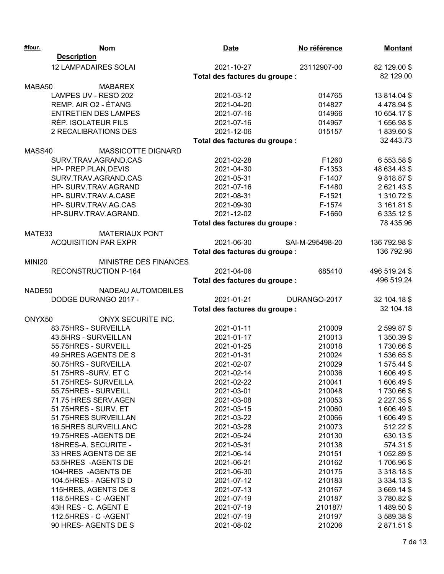| <b>Description</b><br><b>12 LAMPADAIRES SOLAI</b><br>2021-10-27<br>23112907-00<br>82 129.00 \$<br>82 129.00<br>Total des factures du groupe :<br>MABA50<br><b>MABAREX</b><br>LAMPES UV - RESO 202<br>2021-03-12<br>014765<br>13 814.04 \$<br>REMP. AIR O2 - ÉTANG<br>2021-04-20<br>014827<br>4 478.94 \$<br><b>ENTRETIEN DES LAMPES</b><br>2021-07-16<br>014966<br>10 654.17 \$<br>RÉP. ISOLATEUR FILS<br>014967<br>1656.98\$<br>2021-07-16<br>2 RECALIBRATIONS DES<br>2021-12-06<br>015157<br>1839.60\$<br>32 443.73<br>Total des factures du groupe :<br>MASS40<br>MASSICOTTE DIGNARD<br>SURV.TRAV.AGRAND.CAS<br>2021-02-28<br>F1260<br>6 553.58 \$<br>2021-04-30<br>F-1353<br>48 634.43 \$<br>HP- PREP.PLAN, DEVIS<br>SURV.TRAV.AGRAND.CAS<br>2021-05-31<br>F-1407<br>9818.87\$<br>HP- SURV.TRAV.AGRAND<br>2021-07-16<br>F-1480<br>2621.43\$<br>HP- SURV.TRAV.A.CASE<br>2021-08-31<br>F-1521<br>1 310.72 \$<br>HP-SURV.TRAV.AG.CAS<br>2021-09-30<br>F-1574<br>3 161.81 \$<br>2021-12-02<br>6 335.12 \$<br>HP-SURV.TRAV.AGRAND.<br>F-1660<br>78 435.96<br>Total des factures du groupe :<br>MATE33<br><b>MATERIAUX PONT</b><br>2021-06-30<br><b>ACQUISITION PAR EXPR</b><br>SAI-M-295498-20<br>136 792.98 \$<br>136 792.98<br>Total des factures du groupe :<br><b>MINI20</b><br>MINISTRE DES FINANCES<br>RECONSTRUCTION P-164<br>2021-04-06<br>685410<br>496 519.24 \$<br>496 519.24<br>Total des factures du groupe :<br>NADE50<br>NADEAU AUTOMOBILES<br>DODGE DURANGO 2017 -<br>2021-01-21<br>DURANGO-2017<br>32 104.18 \$<br>32 104.18<br>Total des factures du groupe :<br>ONYX50<br>ONYX SECURITE INC.<br>83.75HRS - SURVEILLA<br>2021-01-11<br>210009<br>2599.87\$<br>43.5HRS - SURVEILLAN<br>2021-01-17<br>210013<br>1 350.39 \$ |  |
|--------------------------------------------------------------------------------------------------------------------------------------------------------------------------------------------------------------------------------------------------------------------------------------------------------------------------------------------------------------------------------------------------------------------------------------------------------------------------------------------------------------------------------------------------------------------------------------------------------------------------------------------------------------------------------------------------------------------------------------------------------------------------------------------------------------------------------------------------------------------------------------------------------------------------------------------------------------------------------------------------------------------------------------------------------------------------------------------------------------------------------------------------------------------------------------------------------------------------------------------------------------------------------------------------------------------------------------------------------------------------------------------------------------------------------------------------------------------------------------------------------------------------------------------------------------------------------------------------------------------------------------------------------------------------------------------------------------------------------------------|--|
|                                                                                                                                                                                                                                                                                                                                                                                                                                                                                                                                                                                                                                                                                                                                                                                                                                                                                                                                                                                                                                                                                                                                                                                                                                                                                                                                                                                                                                                                                                                                                                                                                                                                                                                                            |  |
|                                                                                                                                                                                                                                                                                                                                                                                                                                                                                                                                                                                                                                                                                                                                                                                                                                                                                                                                                                                                                                                                                                                                                                                                                                                                                                                                                                                                                                                                                                                                                                                                                                                                                                                                            |  |
|                                                                                                                                                                                                                                                                                                                                                                                                                                                                                                                                                                                                                                                                                                                                                                                                                                                                                                                                                                                                                                                                                                                                                                                                                                                                                                                                                                                                                                                                                                                                                                                                                                                                                                                                            |  |
|                                                                                                                                                                                                                                                                                                                                                                                                                                                                                                                                                                                                                                                                                                                                                                                                                                                                                                                                                                                                                                                                                                                                                                                                                                                                                                                                                                                                                                                                                                                                                                                                                                                                                                                                            |  |
|                                                                                                                                                                                                                                                                                                                                                                                                                                                                                                                                                                                                                                                                                                                                                                                                                                                                                                                                                                                                                                                                                                                                                                                                                                                                                                                                                                                                                                                                                                                                                                                                                                                                                                                                            |  |
|                                                                                                                                                                                                                                                                                                                                                                                                                                                                                                                                                                                                                                                                                                                                                                                                                                                                                                                                                                                                                                                                                                                                                                                                                                                                                                                                                                                                                                                                                                                                                                                                                                                                                                                                            |  |
|                                                                                                                                                                                                                                                                                                                                                                                                                                                                                                                                                                                                                                                                                                                                                                                                                                                                                                                                                                                                                                                                                                                                                                                                                                                                                                                                                                                                                                                                                                                                                                                                                                                                                                                                            |  |
|                                                                                                                                                                                                                                                                                                                                                                                                                                                                                                                                                                                                                                                                                                                                                                                                                                                                                                                                                                                                                                                                                                                                                                                                                                                                                                                                                                                                                                                                                                                                                                                                                                                                                                                                            |  |
|                                                                                                                                                                                                                                                                                                                                                                                                                                                                                                                                                                                                                                                                                                                                                                                                                                                                                                                                                                                                                                                                                                                                                                                                                                                                                                                                                                                                                                                                                                                                                                                                                                                                                                                                            |  |
|                                                                                                                                                                                                                                                                                                                                                                                                                                                                                                                                                                                                                                                                                                                                                                                                                                                                                                                                                                                                                                                                                                                                                                                                                                                                                                                                                                                                                                                                                                                                                                                                                                                                                                                                            |  |
|                                                                                                                                                                                                                                                                                                                                                                                                                                                                                                                                                                                                                                                                                                                                                                                                                                                                                                                                                                                                                                                                                                                                                                                                                                                                                                                                                                                                                                                                                                                                                                                                                                                                                                                                            |  |
|                                                                                                                                                                                                                                                                                                                                                                                                                                                                                                                                                                                                                                                                                                                                                                                                                                                                                                                                                                                                                                                                                                                                                                                                                                                                                                                                                                                                                                                                                                                                                                                                                                                                                                                                            |  |
|                                                                                                                                                                                                                                                                                                                                                                                                                                                                                                                                                                                                                                                                                                                                                                                                                                                                                                                                                                                                                                                                                                                                                                                                                                                                                                                                                                                                                                                                                                                                                                                                                                                                                                                                            |  |
|                                                                                                                                                                                                                                                                                                                                                                                                                                                                                                                                                                                                                                                                                                                                                                                                                                                                                                                                                                                                                                                                                                                                                                                                                                                                                                                                                                                                                                                                                                                                                                                                                                                                                                                                            |  |
|                                                                                                                                                                                                                                                                                                                                                                                                                                                                                                                                                                                                                                                                                                                                                                                                                                                                                                                                                                                                                                                                                                                                                                                                                                                                                                                                                                                                                                                                                                                                                                                                                                                                                                                                            |  |
|                                                                                                                                                                                                                                                                                                                                                                                                                                                                                                                                                                                                                                                                                                                                                                                                                                                                                                                                                                                                                                                                                                                                                                                                                                                                                                                                                                                                                                                                                                                                                                                                                                                                                                                                            |  |
|                                                                                                                                                                                                                                                                                                                                                                                                                                                                                                                                                                                                                                                                                                                                                                                                                                                                                                                                                                                                                                                                                                                                                                                                                                                                                                                                                                                                                                                                                                                                                                                                                                                                                                                                            |  |
|                                                                                                                                                                                                                                                                                                                                                                                                                                                                                                                                                                                                                                                                                                                                                                                                                                                                                                                                                                                                                                                                                                                                                                                                                                                                                                                                                                                                                                                                                                                                                                                                                                                                                                                                            |  |
|                                                                                                                                                                                                                                                                                                                                                                                                                                                                                                                                                                                                                                                                                                                                                                                                                                                                                                                                                                                                                                                                                                                                                                                                                                                                                                                                                                                                                                                                                                                                                                                                                                                                                                                                            |  |
|                                                                                                                                                                                                                                                                                                                                                                                                                                                                                                                                                                                                                                                                                                                                                                                                                                                                                                                                                                                                                                                                                                                                                                                                                                                                                                                                                                                                                                                                                                                                                                                                                                                                                                                                            |  |
|                                                                                                                                                                                                                                                                                                                                                                                                                                                                                                                                                                                                                                                                                                                                                                                                                                                                                                                                                                                                                                                                                                                                                                                                                                                                                                                                                                                                                                                                                                                                                                                                                                                                                                                                            |  |
|                                                                                                                                                                                                                                                                                                                                                                                                                                                                                                                                                                                                                                                                                                                                                                                                                                                                                                                                                                                                                                                                                                                                                                                                                                                                                                                                                                                                                                                                                                                                                                                                                                                                                                                                            |  |
|                                                                                                                                                                                                                                                                                                                                                                                                                                                                                                                                                                                                                                                                                                                                                                                                                                                                                                                                                                                                                                                                                                                                                                                                                                                                                                                                                                                                                                                                                                                                                                                                                                                                                                                                            |  |
|                                                                                                                                                                                                                                                                                                                                                                                                                                                                                                                                                                                                                                                                                                                                                                                                                                                                                                                                                                                                                                                                                                                                                                                                                                                                                                                                                                                                                                                                                                                                                                                                                                                                                                                                            |  |
|                                                                                                                                                                                                                                                                                                                                                                                                                                                                                                                                                                                                                                                                                                                                                                                                                                                                                                                                                                                                                                                                                                                                                                                                                                                                                                                                                                                                                                                                                                                                                                                                                                                                                                                                            |  |
|                                                                                                                                                                                                                                                                                                                                                                                                                                                                                                                                                                                                                                                                                                                                                                                                                                                                                                                                                                                                                                                                                                                                                                                                                                                                                                                                                                                                                                                                                                                                                                                                                                                                                                                                            |  |
|                                                                                                                                                                                                                                                                                                                                                                                                                                                                                                                                                                                                                                                                                                                                                                                                                                                                                                                                                                                                                                                                                                                                                                                                                                                                                                                                                                                                                                                                                                                                                                                                                                                                                                                                            |  |
|                                                                                                                                                                                                                                                                                                                                                                                                                                                                                                                                                                                                                                                                                                                                                                                                                                                                                                                                                                                                                                                                                                                                                                                                                                                                                                                                                                                                                                                                                                                                                                                                                                                                                                                                            |  |
|                                                                                                                                                                                                                                                                                                                                                                                                                                                                                                                                                                                                                                                                                                                                                                                                                                                                                                                                                                                                                                                                                                                                                                                                                                                                                                                                                                                                                                                                                                                                                                                                                                                                                                                                            |  |
|                                                                                                                                                                                                                                                                                                                                                                                                                                                                                                                                                                                                                                                                                                                                                                                                                                                                                                                                                                                                                                                                                                                                                                                                                                                                                                                                                                                                                                                                                                                                                                                                                                                                                                                                            |  |
|                                                                                                                                                                                                                                                                                                                                                                                                                                                                                                                                                                                                                                                                                                                                                                                                                                                                                                                                                                                                                                                                                                                                                                                                                                                                                                                                                                                                                                                                                                                                                                                                                                                                                                                                            |  |
| 55.75HRES - SURVEILL<br>1730.66\$<br>2021-01-25<br>210018                                                                                                                                                                                                                                                                                                                                                                                                                                                                                                                                                                                                                                                                                                                                                                                                                                                                                                                                                                                                                                                                                                                                                                                                                                                                                                                                                                                                                                                                                                                                                                                                                                                                                  |  |
| 49.5HRES AGENTS DE S<br>2021-01-31<br>1536.65\$<br>210024                                                                                                                                                                                                                                                                                                                                                                                                                                                                                                                                                                                                                                                                                                                                                                                                                                                                                                                                                                                                                                                                                                                                                                                                                                                                                                                                                                                                                                                                                                                                                                                                                                                                                  |  |
| 50.75HRS - SURVEILLA<br>2021-02-07<br>1575.44\$<br>210029                                                                                                                                                                                                                                                                                                                                                                                                                                                                                                                                                                                                                                                                                                                                                                                                                                                                                                                                                                                                                                                                                                                                                                                                                                                                                                                                                                                                                                                                                                                                                                                                                                                                                  |  |
| 51.75HRS -SURV. ET C<br>2021-02-14<br>1606.49\$<br>210036                                                                                                                                                                                                                                                                                                                                                                                                                                                                                                                                                                                                                                                                                                                                                                                                                                                                                                                                                                                                                                                                                                                                                                                                                                                                                                                                                                                                                                                                                                                                                                                                                                                                                  |  |
| 51.75HRES-SURVEILLA<br>210041<br>1606.49\$<br>2021-02-22                                                                                                                                                                                                                                                                                                                                                                                                                                                                                                                                                                                                                                                                                                                                                                                                                                                                                                                                                                                                                                                                                                                                                                                                                                                                                                                                                                                                                                                                                                                                                                                                                                                                                   |  |
| 55.75HRES - SURVEILL<br>1730.66\$<br>2021-03-01<br>210048                                                                                                                                                                                                                                                                                                                                                                                                                                                                                                                                                                                                                                                                                                                                                                                                                                                                                                                                                                                                                                                                                                                                                                                                                                                                                                                                                                                                                                                                                                                                                                                                                                                                                  |  |
| 71.75 HRES SERV.AGEN<br>2021-03-08<br>210053<br>2 2 2 7 . 3 5 \$                                                                                                                                                                                                                                                                                                                                                                                                                                                                                                                                                                                                                                                                                                                                                                                                                                                                                                                                                                                                                                                                                                                                                                                                                                                                                                                                                                                                                                                                                                                                                                                                                                                                           |  |
| 51.75HRES - SURV. ET<br>210060<br>1606.49\$<br>2021-03-15                                                                                                                                                                                                                                                                                                                                                                                                                                                                                                                                                                                                                                                                                                                                                                                                                                                                                                                                                                                                                                                                                                                                                                                                                                                                                                                                                                                                                                                                                                                                                                                                                                                                                  |  |
| 51.75HRES SURVEILLAN<br>1606.49\$<br>2021-03-22<br>210066                                                                                                                                                                                                                                                                                                                                                                                                                                                                                                                                                                                                                                                                                                                                                                                                                                                                                                                                                                                                                                                                                                                                                                                                                                                                                                                                                                                                                                                                                                                                                                                                                                                                                  |  |
| <b>16.5HRES SURVEILLANC</b><br>512.22 \$<br>2021-03-28<br>210073                                                                                                                                                                                                                                                                                                                                                                                                                                                                                                                                                                                                                                                                                                                                                                                                                                                                                                                                                                                                                                                                                                                                                                                                                                                                                                                                                                                                                                                                                                                                                                                                                                                                           |  |
| 19.75HRES - AGENTS DE<br>2021-05-24<br>210130<br>630.13 \$                                                                                                                                                                                                                                                                                                                                                                                                                                                                                                                                                                                                                                                                                                                                                                                                                                                                                                                                                                                                                                                                                                                                                                                                                                                                                                                                                                                                                                                                                                                                                                                                                                                                                 |  |
| 18HRES-A. SECURITE -<br>2021-05-31<br>210138<br>574.31 \$                                                                                                                                                                                                                                                                                                                                                                                                                                                                                                                                                                                                                                                                                                                                                                                                                                                                                                                                                                                                                                                                                                                                                                                                                                                                                                                                                                                                                                                                                                                                                                                                                                                                                  |  |
| 33 HRES AGENTS DE SE<br>210151<br>1052.89 \$<br>2021-06-14                                                                                                                                                                                                                                                                                                                                                                                                                                                                                                                                                                                                                                                                                                                                                                                                                                                                                                                                                                                                                                                                                                                                                                                                                                                                                                                                                                                                                                                                                                                                                                                                                                                                                 |  |
| 53.5HRES - AGENTS DE<br>2021-06-21<br>210162<br>1706.96\$                                                                                                                                                                                                                                                                                                                                                                                                                                                                                                                                                                                                                                                                                                                                                                                                                                                                                                                                                                                                                                                                                                                                                                                                                                                                                                                                                                                                                                                                                                                                                                                                                                                                                  |  |
| 104HRES - AGENTS DE<br>2021-06-30<br>210175<br>3 3 18.18 \$                                                                                                                                                                                                                                                                                                                                                                                                                                                                                                                                                                                                                                                                                                                                                                                                                                                                                                                                                                                                                                                                                                                                                                                                                                                                                                                                                                                                                                                                                                                                                                                                                                                                                |  |
| 104.5HRES - AGENTS D<br>2021-07-12<br>210183<br>3 3 3 4 . 1 3 \$                                                                                                                                                                                                                                                                                                                                                                                                                                                                                                                                                                                                                                                                                                                                                                                                                                                                                                                                                                                                                                                                                                                                                                                                                                                                                                                                                                                                                                                                                                                                                                                                                                                                           |  |
| 115HRES, AGENTS DE S<br>2021-07-13<br>210167<br>3 669.14 \$                                                                                                                                                                                                                                                                                                                                                                                                                                                                                                                                                                                                                                                                                                                                                                                                                                                                                                                                                                                                                                                                                                                                                                                                                                                                                                                                                                                                                                                                                                                                                                                                                                                                                |  |
| 118.5HRES - C-AGENT<br>3780.82\$<br>2021-07-19<br>210187                                                                                                                                                                                                                                                                                                                                                                                                                                                                                                                                                                                                                                                                                                                                                                                                                                                                                                                                                                                                                                                                                                                                                                                                                                                                                                                                                                                                                                                                                                                                                                                                                                                                                   |  |
| 43H RES - C. AGENT E<br>1489.50\$<br>2021-07-19<br>210187/                                                                                                                                                                                                                                                                                                                                                                                                                                                                                                                                                                                                                                                                                                                                                                                                                                                                                                                                                                                                                                                                                                                                                                                                                                                                                                                                                                                                                                                                                                                                                                                                                                                                                 |  |
| 112.5HRES - C-AGENT<br>2021-07-19<br>210197<br>3589.38\$                                                                                                                                                                                                                                                                                                                                                                                                                                                                                                                                                                                                                                                                                                                                                                                                                                                                                                                                                                                                                                                                                                                                                                                                                                                                                                                                                                                                                                                                                                                                                                                                                                                                                   |  |
| 90 HRES-AGENTS DE S<br>2021-08-02<br>210206<br>2871.51\$                                                                                                                                                                                                                                                                                                                                                                                                                                                                                                                                                                                                                                                                                                                                                                                                                                                                                                                                                                                                                                                                                                                                                                                                                                                                                                                                                                                                                                                                                                                                                                                                                                                                                   |  |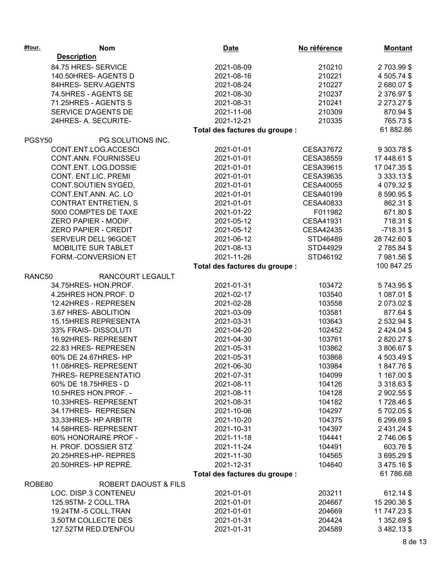| #four. | <b>Nom</b>                      | <b>Date</b>                    | No référence     | <b>Montant</b> |
|--------|---------------------------------|--------------------------------|------------------|----------------|
|        | <b>Description</b>              |                                |                  |                |
|        | 84.75 HRES- SERVICE             | 2021-08-09                     | 210210           | 2703.99\$      |
|        | 140.50HRES-AGENTSD              | 2021-08-16                     | 210221           | 4 505.74 \$    |
|        | 84HRES-SERV.AGENTS              | 2021-08-24                     | 210227           | 2680.07\$      |
|        | 74.5HRES - AGENTS SE            | 2021-08-30                     | 210237           | 2 376.97 \$    |
|        | 71.25HRES - AGENTS S            | 2021-08-31                     | 210241           | 2 273.27 \$    |
|        | SERVICE D'AGENTS DE             | 2021-11-08                     | 210309           | 870.94 \$      |
|        | 24HRES- A. SECURITE-            | 2021-12-21                     | 210335           | 765.73 \$      |
|        |                                 | Total des factures du groupe : |                  | 61 882.86      |
| PGSY50 | PG SOLUTIONS INC.               |                                |                  |                |
|        | CONT.ENT.LOG.ACCESCI            | 2021-01-01                     | CESA37672        | 9 303.78 \$    |
|        | CONT.ANN. FOURNISSEU            | 2021-01-01                     | <b>CESA38559</b> | 17 448.61 \$   |
|        | CONT.ENT. LOG.DOSSIE            | 2021-01-01                     | CESA39615        | 17 047.35 \$   |
|        | CONT. ENT.LIC. PREMI            | 2021-01-01                     | CESA39635        | 3 333.13 \$    |
|        | CONT.SOUTIEN SYGED,             | 2021-01-01                     | <b>CESA40055</b> | 4 079.32 \$    |
|        | CONT.ENT.ANN. AC. LO            | 2021-01-01                     | CESA40199        | 8 590.95 \$    |
|        | <b>CONTRAT ENTRETIEN, S</b>     | 2021-01-01                     | CESA40833        | 862.31 \$      |
|        | 5000 COMPTES DE TAXE            | 2021-01-22                     | F011982          | 671.80 \$      |
|        | ZERO PAPIER - MODIF.            | 2021-05-12                     | CESA41931        | 718.31 \$      |
|        | <b>ZERO PAPIER - CREDIT</b>     | 2021-05-12                     | <b>CESA42435</b> | $-718.31$ \$   |
|        | SERVEUR DELL 96GOET             | 2021-06-12                     | STD46489         | 28 742.60 \$   |
|        | <b>MOBILITE SUR TABLET</b>      | 2021-08-13                     | STD44929         | 2785.84\$      |
|        | FORM.-CONVERSION ET             | 2021-11-26                     | STD46192         | 7981.56\$      |
|        |                                 | Total des factures du groupe : |                  | 100 847.25     |
| RANC50 | RANCOURT LEGAULT                |                                |                  |                |
|        | 34.75HRES-HON.PROF.             | 2021-01-31                     | 103472           | 5743.95\$      |
|        | 4.25HRES HON.PROF. D            | 2021-02-17                     | 103540           | 1 087.01 \$    |
|        | 12.42HRES - REPRESEN            | 2021-02-28                     | 103558           | 2 073.02 \$    |
|        | 3.67 HRES- ABOLITION            | 2021-03-09                     | 103581           | 877.64 \$      |
|        | 15.15HRES REPRESENTA            | 2021-03-31                     | 103643           | 2 532.94 \$    |
|        | 33% FRAIS- DISSOLUTI            | 2021-04-20                     | 102452           | 2 424.04 \$    |
|        | 16.92HRES-REPRESENT             | 2021-04-30                     | 103761           | 2820.27\$      |
|        | 22.83 HRES-REPRESEN             | 2021-05-31                     | 103862           | 3806.67\$      |
|        | 60% DE 24.67HRES- HP            | 2021-05-31                     | 103868           | 4 503.49 \$    |
|        | 11.08HRES-REPRESENT             | 2021-06-30                     | 103984           | 1847.76\$      |
|        | 7HRES-REPRESENTATIO             | 2021-07-31                     | 104099           | 1 167.00 \$    |
|        | 60% DE 18.75HRES - D            | 2021-08-11                     | 104126           | 3 3 18.63 \$   |
|        | 10.5HRES HON.PROF. -            | 2021-08-11                     | 104128           | 2 902.55 \$    |
|        | 10.33HRES-REPRESENT             | 2021-08-31                     | 104182           | 1728.46\$      |
|        | 34.17HRES- REPRESEN             | 2021-10-06                     | 104297           | 5702.05\$      |
|        | 33,33HRES-HP ARBITR             | 2021-10-20                     | 104375           | 6 299.69 \$    |
|        | 14.58HRES-REPRESENT             | 2021-10-31                     | 104397           | 2 431.24 \$    |
|        | 60% HONORAIRE PROF -            | 2021-11-18                     | 104441           | 2746.06\$      |
|        | H. PROF. DOSSIER STZ            | 2021-11-24                     | 104491           | 603.76 \$      |
|        | 20.25HRES-HP-REPRES             | 2021-11-30                     | 104565           | 3 695.29 \$    |
|        | 20.50HRES-HP REPRÉ.             | 2021-12-31                     | 104640           | 3475.16\$      |
|        |                                 | Total des factures du groupe : |                  | 61 786.68      |
| ROBE80 | <b>ROBERT DAOUST &amp; FILS</b> |                                |                  |                |
|        | LOC. DISP.3 CONTENEU            | 2021-01-01                     | 203211           | 612.14 \$      |
|        | 125.95TM-2 COLL.TRA             | 2021-01-01                     | 204667           | 15 290.36 \$   |
|        | 19.24TM -5 COLL.TRAN            | 2021-01-01                     | 204669           | 11 747.23 \$   |
|        | 3.50TM COLLECTE DES             | 2021-01-31                     | 204424           | 1 352.69 \$    |
|        | 127.52TM RED.D'ENFOU            | 2021-01-31                     | 204589           | 3 482.13 \$    |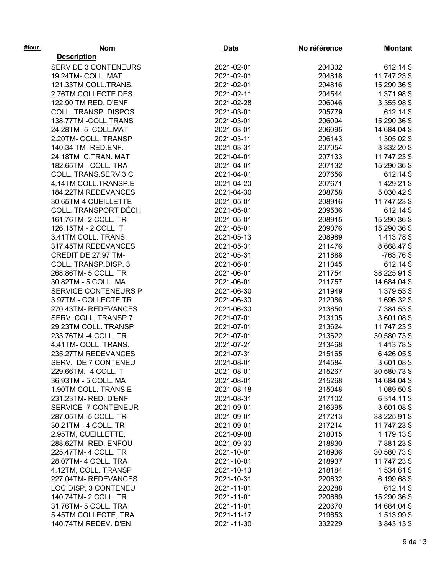| #four. | <b>Nom</b>                  | Date       | No référence | <b>Montant</b> |
|--------|-----------------------------|------------|--------------|----------------|
|        | <b>Description</b>          |            |              |                |
|        | <b>SERV DE 3 CONTENEURS</b> | 2021-02-01 | 204302       | 612.14 \$      |
|        | 19.24TM- COLL. MAT.         | 2021-02-01 | 204818       | 11 747.23 \$   |
|        | 121.33TM COLL.TRANS.        | 2021-02-01 | 204816       | 15 290.36 \$   |
|        | 2.76TM COLLECTE DES         | 2021-02-11 | 204544       | 1 371.98 \$    |
|        | 122.90 TM RED. D'ENF        | 2021-02-28 | 206046       | 3 355.98 \$    |
|        | COLL. TRANSP. DISPOS        | 2021-03-01 | 205779       | 612.14 \$      |
|        | 138.77TM - COLL.TRANS       | 2021-03-01 | 206094       | 15 290.36 \$   |
|        | 24.28TM-5 COLL.MAT          | 2021-03-01 | 206095       | 14 684.04 \$   |
|        | 2.20TM- COLL. TRANSP        | 2021-03-11 | 206143       | 1 305.02 \$    |
|        | 140.34 TM- RED.ENF.         | 2021-03-31 | 207054       | 3 832.20 \$    |
|        | 24.18TM C.TRAN. MAT         | 2021-04-01 | 207133       | 11 747.23 \$   |
|        | 182.65TM - COLL. TRA        | 2021-04-01 | 207132       | 15 290.36 \$   |
|        | COLL. TRANS.SERV.3 C        | 2021-04-01 | 207656       | 612.14 \$      |
|        | 4.14TM COLL.TRANSP.E        | 2021-04-20 | 207671       | 1 429.21 \$    |
|        | 184.22TM REDEVANCES         | 2021-04-30 | 208758       | 5 030.42 \$    |
|        | 30.65TM-4 CUEILLETTE        | 2021-05-01 | 208916       | 11 747.23 \$   |
|        | COLL. TRANSPORT DÉCH        | 2021-05-01 | 209536       | 612.14 \$      |
|        | 161.76TM- 2 COLL. TR        | 2021-05-01 | 208915       | 15 290.36 \$   |
|        | 126.15TM - 2 COLL. T        | 2021-05-01 | 209076       | 15 290.36 \$   |
|        | 3.41TM COLL. TRANS.         | 2021-05-13 | 208989       | 1413.78\$      |
|        | 317.45TM REDEVANCES         | 2021-05-31 | 211476       | 8 668.47 \$    |
|        | CREDIT DE 27.97 TM-         | 2021-05-31 | 211888       | $-763.76$ \$   |
|        | COLL. TRANSP.DISP. 3        | 2021-06-01 | 211045       | 612.14 \$      |
|        | 268.86TM- 5 COLL. TR        | 2021-06-01 | 211754       | 38 225.91 \$   |
|        | 30.82TM - 5 COLL. MA        | 2021-06-01 | 211757       | 14 684.04 \$   |
|        | SERVICE CONTENEURS P        | 2021-06-30 | 211949       | 1 379.53 \$    |
|        | 3.97TM - COLLECTE TR        | 2021-06-30 | 212086       | 1696.32\$      |
|        | 270.43TM-REDEVANCES         | 2021-06-30 | 213650       | 7 384.53 \$    |
|        | SERV. COLL. TRANSP.7        | 2021-07-01 | 213105       | 3601.08\$      |
|        | 29.23TM COLL. TRANSP        | 2021-07-01 | 213624       | 11 747.23 \$   |
|        | 233.76TM -4 COLL. TR        | 2021-07-01 | 213622       | 30 580.73 \$   |
|        | 4.41TM- COLL. TRANS.        | 2021-07-21 | 213468       | 1413.78\$      |
|        | 235.27TM REDEVANCES         | 2021-07-31 | 215165       | 6426.05\$      |
|        | SERV. DE 7 CONTENEU         | 2021-08-01 | 214584       | 3601.08\$      |
|        | 229.66TM. - 4 COLL. T       | 2021-08-01 | 215267       | 30 580.73 \$   |
|        | 36.93TM - 5 COLL. MA        | 2021-08-01 | 215268       | 14 684.04 \$   |
|        | 1.90TM COLL. TRANS.E        | 2021-08-18 | 215048       | 1 089.50 \$    |
|        | 231.23TM-RED. D'ENF         | 2021-08-31 | 217102       | 6 314.11 \$    |
|        | SERVICE 7 CONTENEUR         | 2021-09-01 | 216395       | 3601.08\$      |
|        | 287.05TM- 5 COLL. TR        | 2021-09-01 | 217213       | 38 225.91 \$   |
|        | 30.21TM - 4 COLL. TR        | 2021-09-01 | 217214       | 11 747.23 \$   |
|        | 2.95TM, CUEILLETTE,         | 2021-09-08 | 218015       | 1 179.13 \$    |
|        | 288.62TM-RED. ENFOU         | 2021-09-30 | 218830       | 7881.23\$      |
|        | 225.47TM- 4 COLL. TR        | 2021-10-01 | 218936       | 30 580.73 \$   |
|        | 28.07TM- 4 COLL. TRA        | 2021-10-01 | 218937       | 11 747.23 \$   |
|        | 4.12TM, COLL. TRANSP        | 2021-10-13 | 218184       | 1534.61 \$     |
|        | 227.04TM-REDEVANCES         | 2021-10-31 | 220632       | 6 199.68 \$    |
|        | LOC.DISP. 3 CONTENEU        | 2021-11-01 | 220288       | 612.14 \$      |
|        | 140.74TM- 2 COLL. TR        | 2021-11-01 | 220669       | 15 290.36 \$   |
|        | 31.76TM- 5 COLL. TRA        | 2021-11-01 | 220670       | 14 684.04 \$   |
|        | 5.45TM COLLECTE, TRA        | 2021-11-17 | 219653       | 1513.99\$      |
|        | 140.74TM REDEV. D'EN        | 2021-11-30 | 332229       | 3843.13\$      |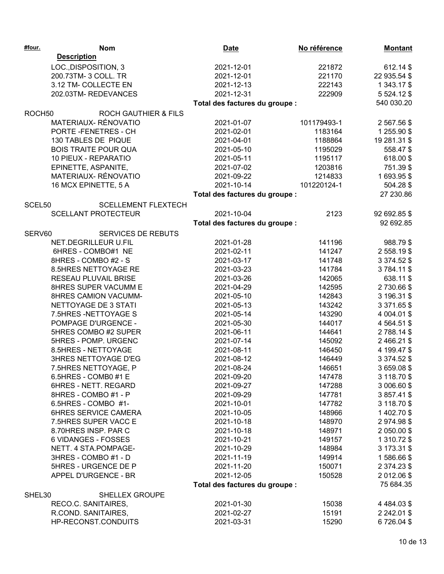| #four.             | <b>Nom</b>                      | <b>Date</b>                    | No référence | <b>Montant</b>  |
|--------------------|---------------------------------|--------------------------------|--------------|-----------------|
|                    | <b>Description</b>              |                                |              |                 |
|                    | LOC., DISPOSITION, 3            | 2021-12-01                     | 221872       | 612.14 \$       |
|                    | 200.73TM- 3 COLL. TR            | 2021-12-01                     | 221170       | 22 935.54 \$    |
|                    | 3.12 TM- COLLECTE EN            | 2021-12-13                     | 222143       | 1 343.17 \$     |
|                    | 202.03TM-REDEVANCES             | 2021-12-31                     | 222909       | 5 5 24.12 \$    |
|                    |                                 | Total des factures du groupe : |              | 540 030.20      |
| ROCH <sub>50</sub> | <b>ROCH GAUTHIER &amp; FILS</b> |                                |              |                 |
|                    | MATERIAUX-RÉNOVATIO             | 2021-01-07                     | 101179493-1  | 2 567.56 \$     |
|                    | PORTE-FENETRES-CH               | 2021-02-01                     | 1183164      | 1 255.90 \$     |
|                    | 130 TABLES DE PIQUE             | 2021-04-01                     | 1188864      | 19 281.31 \$    |
|                    | <b>BOIS TRAITE POUR QUA</b>     | 2021-05-10                     | 1195029      | 558.47 \$       |
|                    | 10 PIEUX - REPARATIO            | 2021-05-11                     | 1195117      | 618.00 \$       |
|                    | EPINETTE, ASPANITE,             | 2021-07-02                     | 1203816      | 751.39 \$       |
|                    | MATERIAUX-RÉNOVATIO             | 2021-09-22                     | 1214833      | 1693.95\$       |
|                    | 16 MCX EPINETTE, 5 A            | 2021-10-14                     | 101220124-1  | 504.28 \$       |
|                    |                                 | Total des factures du groupe : |              | 27 230.86       |
| SCEL50             | <b>SCELLEMENT FLEXTECH</b>      |                                |              |                 |
|                    | <b>SCELLANT PROTECTEUR</b>      | 2021-10-04                     | 2123         | 92 692.85 \$    |
|                    |                                 | Total des factures du groupe : |              | 92 692.85       |
| SERV60             | <b>SERVICES DE REBUTS</b>       |                                |              |                 |
|                    | NET.DEGRILLEUR U.FIL            | 2021-01-28                     | 141196       | 988.79 \$       |
|                    | 6HRES - COMBO#1 NE              | 2021-02-11                     | 141247       | 2 558.19 \$     |
|                    | 8HRES - COMBO #2 - S            | 2021-03-17                     | 141748       | 3 374.52 \$     |
|                    | 8.5HRES NETTOYAGE RE            | 2021-03-23                     | 141784       | 3784.11\$       |
|                    | RESEAU PLUVAIL BRISE            | 2021-03-26                     | 142065       | 638.11 \$       |
|                    | 8HRES SUPER VACUMM E            | 2021-04-29                     | 142595       | 2730.66\$       |
|                    | 8HRES CAMION VACUMM-            | 2021-05-10                     | 142843       | 3 196.31 \$     |
|                    | NETTOYAGE DE 3 STATI            | 2021-05-13                     | 143242       | 3 371.65 \$     |
|                    | 7.5HRES - NETTOYAGE S           | 2021-05-14                     | 143290       | 4 004.01 \$     |
|                    | POMPAGE D'URGENCE -             | 2021-05-30                     | 144017       | 4 564.51 \$     |
|                    | 5HRES COMBO #2 SUPER            | 2021-06-11                     | 144641       | 2788.14\$       |
|                    | 5HRES - POMP. URGENC            | 2021-07-14                     | 145092       | 2466.21\$       |
|                    | 8.5HRES - NETTOYAGE             | 2021-08-11                     | 146450       | 4 199.47 \$     |
|                    | <b>3HRES NETTOYAGE D'EG</b>     | 2021-08-12                     | 146449       | 3 374.52 \$     |
|                    | 7.5HRES NETTOYAGE, P            | 2021-08-24                     | 146651       | 3659.08\$       |
|                    | 6.5HRES - COMB0 #1 E            | 2021-09-20                     | 147478       | 3 118.70 \$     |
|                    | 6HRES - NETT. REGARD            | 2021-09-27                     | 147288       | 3 006.60 \$     |
|                    | 8HRES - COMBO #1 - P            | 2021-09-29                     | 147781       | 3 857.41 \$     |
|                    | 6.5HRES - COMBO #1-             | 2021-10-01                     | 147782       | 3 118.70 \$     |
|                    | 6HRES SERVICE CAMERA            | 2021-10-05                     | 148966       | 1 402.70 \$     |
|                    | 7.5HRES SUPER VACC E            | 2021-10-18                     | 148970       | 2974.98\$       |
|                    | 8.70HRES INSP. PAR C            | 2021-10-18                     | 148971       | 2 050.00 \$     |
|                    | 6 VIDANGES - FOSSES             | 2021-10-21                     | 149157       | 1 310.72 \$     |
|                    | NETT. 4 STA.POMPAGE-            | 2021-10-29                     | 148984       | 3 173.31 \$     |
|                    | 3HRES - COMBO #1 - D            | 2021-11-19                     | 149914       | 1586.66\$       |
|                    | 5HRES - URGENCE DE P            | 2021-11-20                     | 150071       | 2 374.23 \$     |
|                    | APPEL D'URGENCE - BR            | 2021-12-05                     | 150528       | 2 012.06 \$     |
|                    |                                 | Total des factures du groupe : |              | 75 684.35       |
| SHEL30             | <b>SHELLEX GROUPE</b>           |                                |              |                 |
|                    | RECO.C. SANITAIRES,             | 2021-01-30                     | 15038        | 4 4 8 4 .0 3 \$ |
|                    | R.COND. SANITAIRES,             | 2021-02-27                     | 15191        | 2 242.01 \$     |
|                    | HP-RECONST.CONDUITS             | 2021-03-31                     | 15290        | 6726.04\$       |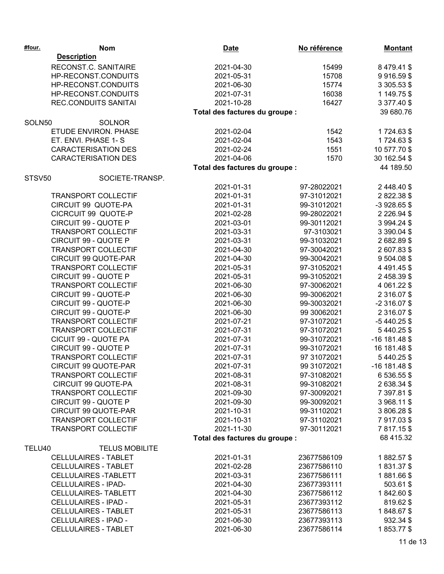| #four. | <b>Nom</b>                  | <b>Date</b>                    | No référence | <b>Montant</b>  |
|--------|-----------------------------|--------------------------------|--------------|-----------------|
|        | <b>Description</b>          |                                |              |                 |
|        | RECONST.C. SANITAIRE        | 2021-04-30                     | 15499        | 8 479.41 \$     |
|        | HP-RECONST.CONDUITS         | 2021-05-31                     | 15708        | 9916.59\$       |
|        | HP-RECONST.CONDUITS         | 2021-06-30                     | 15774        | 3 305.53 \$     |
|        | HP-RECONST.CONDUITS         | 2021-07-31                     | 16038        | 1 149.75 \$     |
|        | <b>REC.CONDUITS SANITAI</b> | 2021-10-28                     | 16427        | 3 377.40 \$     |
|        |                             | Total des factures du groupe : |              | 39 680.76       |
| SOLN50 | <b>SOLNOR</b>               |                                |              |                 |
|        | ETUDE ENVIRON. PHASE        | 2021-02-04                     | 1542         | 1724.63 \$      |
|        | ET. ENVI. PHASE 1-S         | 2021-02-04                     | 1543         | 1724.63 \$      |
|        | <b>CARACTERISATION DES</b>  | 2021-02-24                     | 1551         | 10 577.70 \$    |
|        | <b>CARACTERISATION DES</b>  | 2021-04-06                     | 1570         | 30 162.54 \$    |
|        |                             | Total des factures du groupe : |              | 44 189.50       |
| STSV50 | SOCIETE-TRANSP.             |                                |              |                 |
|        |                             | 2021-01-31                     | 97-28022021  | 2 448.40 \$     |
|        | <b>TRANSPORT COLLECTIF</b>  | 2021-01-31                     | 97-31012021  | 2822.38\$       |
|        | CIRCUIT 99 QUOTE-PA         | 2021-01-31                     | 99-31012021  | $-3928.65$ \$   |
|        | CICRCUIT 99 QUOTE-P         | 2021-02-28                     | 99-28022021  | 2 2 2 6 .94 \$  |
|        | CIRCUIT 99 - QUOTE P        | 2021-03-01                     | 99-30112021  | 3 994.24 \$     |
|        | <b>TRANSPORT COLLECTIF</b>  | 2021-03-31                     | 97-3103021   | 3 390.04 \$     |
|        | CIRCUIT 99 - QUOTE P        | 2021-03-31                     | 99-31032021  | 2682.89 \$      |
|        | <b>TRANSPORT COLLECTIF</b>  | 2021-04-30                     | 97-30042021  | 2 607.83 \$     |
|        | <b>CIRCUIT 99 QUOTE-PAR</b> | 2021-04-30                     | 99-30042021  | 9 504.08 \$     |
|        | <b>TRANSPORT COLLECTIF</b>  | 2021-05-31                     | 97-31052021  | 4 4 9 1.45 \$   |
|        | CIRCUIT 99 - QUOTE P        | 2021-05-31                     | 99-31052021  | 2458.39\$       |
|        | <b>TRANSPORT COLLECTIF</b>  | 2021-06-30                     | 97-30062021  | 4 061.22 \$     |
|        | CIRCUIT 99 - QUOTE-P        | 2021-06-30                     | 99-30062021  | 2 316.07 \$     |
|        | CIRCUIT 99 - QUOTE-P        | 2021-06-30                     | 99-30032021  | $-2316.07$ \$   |
|        | CIRCUIT 99 - QUOTE-P        | 2021-06-30                     | 99 30062021  | 2 316.07 \$     |
|        | <b>TRANSPORT COLLECTIF</b>  | 2021-07-21                     | 97-31072021  | $-5440.25$ \$   |
|        | <b>TRANSPORT COLLECTIF</b>  | 2021-07-31                     | 97-31072021  | 5440.25\$       |
|        | CICUIT 99 - QUOTE PA        | 2021-07-31                     | 99-31072021  | $-16$ 181.48 \$ |
|        | CIRCUIT 99 - QUOTE P        | 2021-07-31                     | 99-31072021  | 16 181.48 \$    |
|        | <b>TRANSPORT COLLECTIF</b>  | 2021-07-31                     | 97 31072021  | 5440.25\$       |
|        | <b>CIRCUIT 99 QUOTE-PAR</b> | 2021-07-31                     | 99 31072021  | $-16$ 181.48 \$ |
|        | <b>TRANSPORT COLLECTIF</b>  | 2021-08-31                     | 97-31082021  | 6 536.55 \$     |
|        | CIRCUIT 99 QUOTE-PA         | 2021-08-31                     | 99-31082021  | 2638.34\$       |
|        | <b>TRANSPORT COLLECTIF</b>  | 2021-09-30                     | 97-30092021  | 7 397.81 \$     |
|        | CIRCUIT 99 - QUOTE P        | 2021-09-30                     | 99-30092021  | 3 968.11 \$     |
|        | CIRCUIT 99 QUOTE-PAR        | 2021-10-31                     | 99-31102021  | 3 806.28 \$     |
|        | <b>TRANSPORT COLLECTIF</b>  | 2021-10-31                     | 97-31102021  | 7917.03\$       |
|        | <b>TRANSPORT COLLECTIF</b>  | 2021-11-30                     | 97-30112021  | 7817.15\$       |
|        |                             | Total des factures du groupe : |              | 68 415.32       |
| TELU40 | <b>TELUS MOBILITE</b>       |                                |              |                 |
|        | <b>CELLULAIRES - TABLET</b> | 2021-01-31                     | 23677586109  | 1882.57\$       |
|        | <b>CELLULAIRES - TABLET</b> | 2021-02-28                     | 23677586110  | 1831.37\$       |
|        | <b>CELLULAIRES -TABLETT</b> | 2021-03-31                     | 23677586111  | 1881.66\$       |
|        | <b>CELLULAIRES - IPAD-</b>  | 2021-04-30                     | 23677393111  | 503.61 \$       |
|        | <b>CELLULAIRES- TABLETT</b> | 2021-04-30                     | 23677586112  | 1842.60\$       |
|        | <b>CELLULAIRES - IPAD -</b> | 2021-05-31                     | 23677393112  | 819.62 \$       |
|        | <b>CELLULAIRES - TABLET</b> | 2021-05-31                     | 23677586113  | 1848.67\$       |
|        | <b>CELLULAIRES - IPAD -</b> | 2021-06-30                     | 23677393113  | 932.34 \$       |
|        | <b>CELLULAIRES - TABLET</b> | 2021-06-30                     | 23677586114  | 1853.77\$       |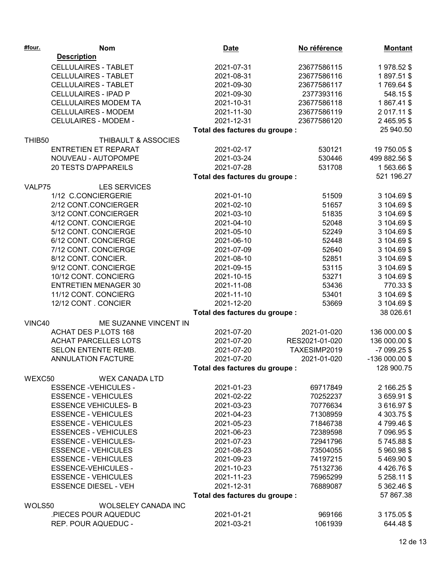| <b>Description</b><br><b>CELLULAIRES - TABLET</b><br>2021-07-31<br>1978.52\$<br>23677586115<br><b>CELLULAIRES - TABLET</b><br>2021-08-31<br>23677586116<br>1897.51\$<br><b>CELLULAIRES - TABLET</b><br>2021-09-30<br>23677586117<br>1769.64\$<br><b>CELLULAIRES - IPAD P</b><br>2021-09-30<br>2377393116<br>548.15\$<br><b>CELLULAIRES MODEM TA</b><br>2021-10-31<br>23677586118<br>1867.41\$<br><b>CELLULAIRES - MODEM</b><br>2021-11-30<br>23677586119<br>2 017.11 \$<br><b>CELULAIRES - MODEM -</b><br>2021-12-31<br>23677586120<br>2 465.95 \$<br>25 940.50<br>Total des factures du groupe :<br>THIBAULT & ASSOCIES<br>THIB50<br><b>ENTRETIEN ET REPARAT</b><br>2021-02-17<br>530121<br>19 750.05 \$<br>NOUVEAU - AUTOPOMPE<br>2021-03-24<br>530446<br>499 882.56 \$<br>20 TESTS D'APPAREILS<br>2021-07-28<br>1563.66\$<br>531708<br>521 196.27<br>Total des factures du groupe :<br>VALP75<br><b>LES SERVICES</b><br>1/12 C.CONCIERGERIE<br>2021-01-10<br>51509<br>3 104.69 \$<br>2/12 CONT.CONCIERGER<br>2021-02-10<br>51657<br>3 104.69 \$<br>3/12 CONT.CONCIERGER<br>2021-03-10<br>51835<br>3 104.69 \$<br>4/12 CONT. CONCIERGE<br>3 104.69 \$<br>2021-04-10<br>52048<br>5/12 CONT. CONCIERGE<br>2021-05-10<br>52249<br>3 104.69 \$<br>6/12 CONT. CONCIERGE<br>3 104.69 \$<br>2021-06-10<br>52448<br>7/12 CONT. CONCIERGE<br>2021-07-09<br>52640<br>3 104.69 \$<br>8/12 CONT. CONCIER.<br>3 104.69 \$<br>2021-08-10<br>52851<br>9/12 CONT. CONCIERGE<br>3 104.69 \$<br>2021-09-15<br>53115<br>10/12 CONT. CONCIERG<br>3 104.69 \$<br>2021-10-15<br>53271<br><b>ENTRETIEN MENAGER 30</b><br>2021-11-08<br>53436<br>770.33 \$<br>11/12 CONT. CONCIERG<br>2021-11-10<br>53401<br>3 104.69 \$<br>12/12 CONT. CONCIER<br>2021-12-20<br>53669<br>3 104.69 \$<br>38 026.61<br>Total des factures du groupe :<br>ME SUZANNE VINCENT IN<br>VINC40<br><b>ACHAT DES P.LOTS 168</b><br>2021-07-20<br>2021-01-020<br>136 000.00 \$<br><b>ACHAT PARCELLES LOTS</b><br>2021-07-20<br>RES2021-01-020<br>136 000.00 \$<br>TAXESIMP2019<br>SELON ENTENTE REMB.<br>2021-07-20<br>-7 099.25 \$<br><b>ANNULATION FACTURE</b><br>2021-07-20<br>2021-01-020<br>$-136000.00$ \$<br>128 900.75<br>Total des factures du groupe :<br>WEXC50<br><b>WEX CANADA LTD</b><br><b>ESSENCE -VEHICULES -</b><br>2 166.25 \$<br>2021-01-23<br>69717849<br><b>ESSENCE - VEHICULES</b><br>2021-02-22<br>70252237<br>3659.91\$<br>70776634<br>3616.97\$<br><b>ESSENCE VEHICULES-B</b><br>2021-03-23<br><b>ESSENCE - VEHICULES</b><br>4 303.75 \$<br>2021-04-23<br>71308959<br><b>ESSENCE - VEHICULES</b><br>4799.46\$<br>2021-05-23<br>71846738<br><b>ESSENCES - VEHICULES</b><br>7 096.95 \$<br>2021-06-23<br>72389598<br><b>ESSENCE - VEHICULES-</b><br>2021-07-23<br>5745.88\$<br>72941796<br><b>ESSENCE - VEHICULES</b><br>2021-08-23<br>73504055<br>5960.98\$<br><b>ESSENCE - VEHICULES</b><br>2021-09-23<br>5469.90\$<br>74197215<br><b>ESSENCE-VEHICULES -</b><br>4426.76\$<br>2021-10-23<br>75132736<br>2021-11-23<br>5 258.11 \$<br><b>ESSENCE - VEHICULES</b><br>75965299<br><b>ESSENCE DIESEL - VEH</b><br>2021-12-31<br>5 362.46 \$<br>76889087<br>57 867.38<br>Total des factures du groupe :<br>WOLS50<br><b>WOLSELEY CANADA INC</b><br>.PIECES POUR AQUEDUC<br>2021-01-21<br>969166<br>3 175.05 \$<br>REP. POUR AQUEDUC -<br>2021-03-21<br>1061939<br>644.48 \$ | #four. | <b>Nom</b> | <b>Date</b> | No référence | <b>Montant</b> |
|--------------------------------------------------------------------------------------------------------------------------------------------------------------------------------------------------------------------------------------------------------------------------------------------------------------------------------------------------------------------------------------------------------------------------------------------------------------------------------------------------------------------------------------------------------------------------------------------------------------------------------------------------------------------------------------------------------------------------------------------------------------------------------------------------------------------------------------------------------------------------------------------------------------------------------------------------------------------------------------------------------------------------------------------------------------------------------------------------------------------------------------------------------------------------------------------------------------------------------------------------------------------------------------------------------------------------------------------------------------------------------------------------------------------------------------------------------------------------------------------------------------------------------------------------------------------------------------------------------------------------------------------------------------------------------------------------------------------------------------------------------------------------------------------------------------------------------------------------------------------------------------------------------------------------------------------------------------------------------------------------------------------------------------------------------------------------------------------------------------------------------------------------------------------------------------------------------------------------------------------------------------------------------------------------------------------------------------------------------------------------------------------------------------------------------------------------------------------------------------------------------------------------------------------------------------------------------------------------------------------------------------------------------------------------------------------------------------------------------------------------------------------------------------------------------------------------------------------------------------------------------------------------------------------------------------------------------------------------------------------------------------------------------------------------------------------------------------------------------------------------------------------------------------------------------------------------------------------------------------------------------------------------------------------------------------------------------------------------|--------|------------|-------------|--------------|----------------|
|                                                                                                                                                                                                                                                                                                                                                                                                                                                                                                                                                                                                                                                                                                                                                                                                                                                                                                                                                                                                                                                                                                                                                                                                                                                                                                                                                                                                                                                                                                                                                                                                                                                                                                                                                                                                                                                                                                                                                                                                                                                                                                                                                                                                                                                                                                                                                                                                                                                                                                                                                                                                                                                                                                                                                                                                                                                                                                                                                                                                                                                                                                                                                                                                                                                                                                                                                  |        |            |             |              |                |
|                                                                                                                                                                                                                                                                                                                                                                                                                                                                                                                                                                                                                                                                                                                                                                                                                                                                                                                                                                                                                                                                                                                                                                                                                                                                                                                                                                                                                                                                                                                                                                                                                                                                                                                                                                                                                                                                                                                                                                                                                                                                                                                                                                                                                                                                                                                                                                                                                                                                                                                                                                                                                                                                                                                                                                                                                                                                                                                                                                                                                                                                                                                                                                                                                                                                                                                                                  |        |            |             |              |                |
|                                                                                                                                                                                                                                                                                                                                                                                                                                                                                                                                                                                                                                                                                                                                                                                                                                                                                                                                                                                                                                                                                                                                                                                                                                                                                                                                                                                                                                                                                                                                                                                                                                                                                                                                                                                                                                                                                                                                                                                                                                                                                                                                                                                                                                                                                                                                                                                                                                                                                                                                                                                                                                                                                                                                                                                                                                                                                                                                                                                                                                                                                                                                                                                                                                                                                                                                                  |        |            |             |              |                |
|                                                                                                                                                                                                                                                                                                                                                                                                                                                                                                                                                                                                                                                                                                                                                                                                                                                                                                                                                                                                                                                                                                                                                                                                                                                                                                                                                                                                                                                                                                                                                                                                                                                                                                                                                                                                                                                                                                                                                                                                                                                                                                                                                                                                                                                                                                                                                                                                                                                                                                                                                                                                                                                                                                                                                                                                                                                                                                                                                                                                                                                                                                                                                                                                                                                                                                                                                  |        |            |             |              |                |
|                                                                                                                                                                                                                                                                                                                                                                                                                                                                                                                                                                                                                                                                                                                                                                                                                                                                                                                                                                                                                                                                                                                                                                                                                                                                                                                                                                                                                                                                                                                                                                                                                                                                                                                                                                                                                                                                                                                                                                                                                                                                                                                                                                                                                                                                                                                                                                                                                                                                                                                                                                                                                                                                                                                                                                                                                                                                                                                                                                                                                                                                                                                                                                                                                                                                                                                                                  |        |            |             |              |                |
|                                                                                                                                                                                                                                                                                                                                                                                                                                                                                                                                                                                                                                                                                                                                                                                                                                                                                                                                                                                                                                                                                                                                                                                                                                                                                                                                                                                                                                                                                                                                                                                                                                                                                                                                                                                                                                                                                                                                                                                                                                                                                                                                                                                                                                                                                                                                                                                                                                                                                                                                                                                                                                                                                                                                                                                                                                                                                                                                                                                                                                                                                                                                                                                                                                                                                                                                                  |        |            |             |              |                |
|                                                                                                                                                                                                                                                                                                                                                                                                                                                                                                                                                                                                                                                                                                                                                                                                                                                                                                                                                                                                                                                                                                                                                                                                                                                                                                                                                                                                                                                                                                                                                                                                                                                                                                                                                                                                                                                                                                                                                                                                                                                                                                                                                                                                                                                                                                                                                                                                                                                                                                                                                                                                                                                                                                                                                                                                                                                                                                                                                                                                                                                                                                                                                                                                                                                                                                                                                  |        |            |             |              |                |
|                                                                                                                                                                                                                                                                                                                                                                                                                                                                                                                                                                                                                                                                                                                                                                                                                                                                                                                                                                                                                                                                                                                                                                                                                                                                                                                                                                                                                                                                                                                                                                                                                                                                                                                                                                                                                                                                                                                                                                                                                                                                                                                                                                                                                                                                                                                                                                                                                                                                                                                                                                                                                                                                                                                                                                                                                                                                                                                                                                                                                                                                                                                                                                                                                                                                                                                                                  |        |            |             |              |                |
|                                                                                                                                                                                                                                                                                                                                                                                                                                                                                                                                                                                                                                                                                                                                                                                                                                                                                                                                                                                                                                                                                                                                                                                                                                                                                                                                                                                                                                                                                                                                                                                                                                                                                                                                                                                                                                                                                                                                                                                                                                                                                                                                                                                                                                                                                                                                                                                                                                                                                                                                                                                                                                                                                                                                                                                                                                                                                                                                                                                                                                                                                                                                                                                                                                                                                                                                                  |        |            |             |              |                |
|                                                                                                                                                                                                                                                                                                                                                                                                                                                                                                                                                                                                                                                                                                                                                                                                                                                                                                                                                                                                                                                                                                                                                                                                                                                                                                                                                                                                                                                                                                                                                                                                                                                                                                                                                                                                                                                                                                                                                                                                                                                                                                                                                                                                                                                                                                                                                                                                                                                                                                                                                                                                                                                                                                                                                                                                                                                                                                                                                                                                                                                                                                                                                                                                                                                                                                                                                  |        |            |             |              |                |
|                                                                                                                                                                                                                                                                                                                                                                                                                                                                                                                                                                                                                                                                                                                                                                                                                                                                                                                                                                                                                                                                                                                                                                                                                                                                                                                                                                                                                                                                                                                                                                                                                                                                                                                                                                                                                                                                                                                                                                                                                                                                                                                                                                                                                                                                                                                                                                                                                                                                                                                                                                                                                                                                                                                                                                                                                                                                                                                                                                                                                                                                                                                                                                                                                                                                                                                                                  |        |            |             |              |                |
|                                                                                                                                                                                                                                                                                                                                                                                                                                                                                                                                                                                                                                                                                                                                                                                                                                                                                                                                                                                                                                                                                                                                                                                                                                                                                                                                                                                                                                                                                                                                                                                                                                                                                                                                                                                                                                                                                                                                                                                                                                                                                                                                                                                                                                                                                                                                                                                                                                                                                                                                                                                                                                                                                                                                                                                                                                                                                                                                                                                                                                                                                                                                                                                                                                                                                                                                                  |        |            |             |              |                |
|                                                                                                                                                                                                                                                                                                                                                                                                                                                                                                                                                                                                                                                                                                                                                                                                                                                                                                                                                                                                                                                                                                                                                                                                                                                                                                                                                                                                                                                                                                                                                                                                                                                                                                                                                                                                                                                                                                                                                                                                                                                                                                                                                                                                                                                                                                                                                                                                                                                                                                                                                                                                                                                                                                                                                                                                                                                                                                                                                                                                                                                                                                                                                                                                                                                                                                                                                  |        |            |             |              |                |
|                                                                                                                                                                                                                                                                                                                                                                                                                                                                                                                                                                                                                                                                                                                                                                                                                                                                                                                                                                                                                                                                                                                                                                                                                                                                                                                                                                                                                                                                                                                                                                                                                                                                                                                                                                                                                                                                                                                                                                                                                                                                                                                                                                                                                                                                                                                                                                                                                                                                                                                                                                                                                                                                                                                                                                                                                                                                                                                                                                                                                                                                                                                                                                                                                                                                                                                                                  |        |            |             |              |                |
|                                                                                                                                                                                                                                                                                                                                                                                                                                                                                                                                                                                                                                                                                                                                                                                                                                                                                                                                                                                                                                                                                                                                                                                                                                                                                                                                                                                                                                                                                                                                                                                                                                                                                                                                                                                                                                                                                                                                                                                                                                                                                                                                                                                                                                                                                                                                                                                                                                                                                                                                                                                                                                                                                                                                                                                                                                                                                                                                                                                                                                                                                                                                                                                                                                                                                                                                                  |        |            |             |              |                |
|                                                                                                                                                                                                                                                                                                                                                                                                                                                                                                                                                                                                                                                                                                                                                                                                                                                                                                                                                                                                                                                                                                                                                                                                                                                                                                                                                                                                                                                                                                                                                                                                                                                                                                                                                                                                                                                                                                                                                                                                                                                                                                                                                                                                                                                                                                                                                                                                                                                                                                                                                                                                                                                                                                                                                                                                                                                                                                                                                                                                                                                                                                                                                                                                                                                                                                                                                  |        |            |             |              |                |
|                                                                                                                                                                                                                                                                                                                                                                                                                                                                                                                                                                                                                                                                                                                                                                                                                                                                                                                                                                                                                                                                                                                                                                                                                                                                                                                                                                                                                                                                                                                                                                                                                                                                                                                                                                                                                                                                                                                                                                                                                                                                                                                                                                                                                                                                                                                                                                                                                                                                                                                                                                                                                                                                                                                                                                                                                                                                                                                                                                                                                                                                                                                                                                                                                                                                                                                                                  |        |            |             |              |                |
|                                                                                                                                                                                                                                                                                                                                                                                                                                                                                                                                                                                                                                                                                                                                                                                                                                                                                                                                                                                                                                                                                                                                                                                                                                                                                                                                                                                                                                                                                                                                                                                                                                                                                                                                                                                                                                                                                                                                                                                                                                                                                                                                                                                                                                                                                                                                                                                                                                                                                                                                                                                                                                                                                                                                                                                                                                                                                                                                                                                                                                                                                                                                                                                                                                                                                                                                                  |        |            |             |              |                |
|                                                                                                                                                                                                                                                                                                                                                                                                                                                                                                                                                                                                                                                                                                                                                                                                                                                                                                                                                                                                                                                                                                                                                                                                                                                                                                                                                                                                                                                                                                                                                                                                                                                                                                                                                                                                                                                                                                                                                                                                                                                                                                                                                                                                                                                                                                                                                                                                                                                                                                                                                                                                                                                                                                                                                                                                                                                                                                                                                                                                                                                                                                                                                                                                                                                                                                                                                  |        |            |             |              |                |
|                                                                                                                                                                                                                                                                                                                                                                                                                                                                                                                                                                                                                                                                                                                                                                                                                                                                                                                                                                                                                                                                                                                                                                                                                                                                                                                                                                                                                                                                                                                                                                                                                                                                                                                                                                                                                                                                                                                                                                                                                                                                                                                                                                                                                                                                                                                                                                                                                                                                                                                                                                                                                                                                                                                                                                                                                                                                                                                                                                                                                                                                                                                                                                                                                                                                                                                                                  |        |            |             |              |                |
|                                                                                                                                                                                                                                                                                                                                                                                                                                                                                                                                                                                                                                                                                                                                                                                                                                                                                                                                                                                                                                                                                                                                                                                                                                                                                                                                                                                                                                                                                                                                                                                                                                                                                                                                                                                                                                                                                                                                                                                                                                                                                                                                                                                                                                                                                                                                                                                                                                                                                                                                                                                                                                                                                                                                                                                                                                                                                                                                                                                                                                                                                                                                                                                                                                                                                                                                                  |        |            |             |              |                |
|                                                                                                                                                                                                                                                                                                                                                                                                                                                                                                                                                                                                                                                                                                                                                                                                                                                                                                                                                                                                                                                                                                                                                                                                                                                                                                                                                                                                                                                                                                                                                                                                                                                                                                                                                                                                                                                                                                                                                                                                                                                                                                                                                                                                                                                                                                                                                                                                                                                                                                                                                                                                                                                                                                                                                                                                                                                                                                                                                                                                                                                                                                                                                                                                                                                                                                                                                  |        |            |             |              |                |
|                                                                                                                                                                                                                                                                                                                                                                                                                                                                                                                                                                                                                                                                                                                                                                                                                                                                                                                                                                                                                                                                                                                                                                                                                                                                                                                                                                                                                                                                                                                                                                                                                                                                                                                                                                                                                                                                                                                                                                                                                                                                                                                                                                                                                                                                                                                                                                                                                                                                                                                                                                                                                                                                                                                                                                                                                                                                                                                                                                                                                                                                                                                                                                                                                                                                                                                                                  |        |            |             |              |                |
|                                                                                                                                                                                                                                                                                                                                                                                                                                                                                                                                                                                                                                                                                                                                                                                                                                                                                                                                                                                                                                                                                                                                                                                                                                                                                                                                                                                                                                                                                                                                                                                                                                                                                                                                                                                                                                                                                                                                                                                                                                                                                                                                                                                                                                                                                                                                                                                                                                                                                                                                                                                                                                                                                                                                                                                                                                                                                                                                                                                                                                                                                                                                                                                                                                                                                                                                                  |        |            |             |              |                |
|                                                                                                                                                                                                                                                                                                                                                                                                                                                                                                                                                                                                                                                                                                                                                                                                                                                                                                                                                                                                                                                                                                                                                                                                                                                                                                                                                                                                                                                                                                                                                                                                                                                                                                                                                                                                                                                                                                                                                                                                                                                                                                                                                                                                                                                                                                                                                                                                                                                                                                                                                                                                                                                                                                                                                                                                                                                                                                                                                                                                                                                                                                                                                                                                                                                                                                                                                  |        |            |             |              |                |
|                                                                                                                                                                                                                                                                                                                                                                                                                                                                                                                                                                                                                                                                                                                                                                                                                                                                                                                                                                                                                                                                                                                                                                                                                                                                                                                                                                                                                                                                                                                                                                                                                                                                                                                                                                                                                                                                                                                                                                                                                                                                                                                                                                                                                                                                                                                                                                                                                                                                                                                                                                                                                                                                                                                                                                                                                                                                                                                                                                                                                                                                                                                                                                                                                                                                                                                                                  |        |            |             |              |                |
|                                                                                                                                                                                                                                                                                                                                                                                                                                                                                                                                                                                                                                                                                                                                                                                                                                                                                                                                                                                                                                                                                                                                                                                                                                                                                                                                                                                                                                                                                                                                                                                                                                                                                                                                                                                                                                                                                                                                                                                                                                                                                                                                                                                                                                                                                                                                                                                                                                                                                                                                                                                                                                                                                                                                                                                                                                                                                                                                                                                                                                                                                                                                                                                                                                                                                                                                                  |        |            |             |              |                |
|                                                                                                                                                                                                                                                                                                                                                                                                                                                                                                                                                                                                                                                                                                                                                                                                                                                                                                                                                                                                                                                                                                                                                                                                                                                                                                                                                                                                                                                                                                                                                                                                                                                                                                                                                                                                                                                                                                                                                                                                                                                                                                                                                                                                                                                                                                                                                                                                                                                                                                                                                                                                                                                                                                                                                                                                                                                                                                                                                                                                                                                                                                                                                                                                                                                                                                                                                  |        |            |             |              |                |
|                                                                                                                                                                                                                                                                                                                                                                                                                                                                                                                                                                                                                                                                                                                                                                                                                                                                                                                                                                                                                                                                                                                                                                                                                                                                                                                                                                                                                                                                                                                                                                                                                                                                                                                                                                                                                                                                                                                                                                                                                                                                                                                                                                                                                                                                                                                                                                                                                                                                                                                                                                                                                                                                                                                                                                                                                                                                                                                                                                                                                                                                                                                                                                                                                                                                                                                                                  |        |            |             |              |                |
|                                                                                                                                                                                                                                                                                                                                                                                                                                                                                                                                                                                                                                                                                                                                                                                                                                                                                                                                                                                                                                                                                                                                                                                                                                                                                                                                                                                                                                                                                                                                                                                                                                                                                                                                                                                                                                                                                                                                                                                                                                                                                                                                                                                                                                                                                                                                                                                                                                                                                                                                                                                                                                                                                                                                                                                                                                                                                                                                                                                                                                                                                                                                                                                                                                                                                                                                                  |        |            |             |              |                |
|                                                                                                                                                                                                                                                                                                                                                                                                                                                                                                                                                                                                                                                                                                                                                                                                                                                                                                                                                                                                                                                                                                                                                                                                                                                                                                                                                                                                                                                                                                                                                                                                                                                                                                                                                                                                                                                                                                                                                                                                                                                                                                                                                                                                                                                                                                                                                                                                                                                                                                                                                                                                                                                                                                                                                                                                                                                                                                                                                                                                                                                                                                                                                                                                                                                                                                                                                  |        |            |             |              |                |
|                                                                                                                                                                                                                                                                                                                                                                                                                                                                                                                                                                                                                                                                                                                                                                                                                                                                                                                                                                                                                                                                                                                                                                                                                                                                                                                                                                                                                                                                                                                                                                                                                                                                                                                                                                                                                                                                                                                                                                                                                                                                                                                                                                                                                                                                                                                                                                                                                                                                                                                                                                                                                                                                                                                                                                                                                                                                                                                                                                                                                                                                                                                                                                                                                                                                                                                                                  |        |            |             |              |                |
|                                                                                                                                                                                                                                                                                                                                                                                                                                                                                                                                                                                                                                                                                                                                                                                                                                                                                                                                                                                                                                                                                                                                                                                                                                                                                                                                                                                                                                                                                                                                                                                                                                                                                                                                                                                                                                                                                                                                                                                                                                                                                                                                                                                                                                                                                                                                                                                                                                                                                                                                                                                                                                                                                                                                                                                                                                                                                                                                                                                                                                                                                                                                                                                                                                                                                                                                                  |        |            |             |              |                |
|                                                                                                                                                                                                                                                                                                                                                                                                                                                                                                                                                                                                                                                                                                                                                                                                                                                                                                                                                                                                                                                                                                                                                                                                                                                                                                                                                                                                                                                                                                                                                                                                                                                                                                                                                                                                                                                                                                                                                                                                                                                                                                                                                                                                                                                                                                                                                                                                                                                                                                                                                                                                                                                                                                                                                                                                                                                                                                                                                                                                                                                                                                                                                                                                                                                                                                                                                  |        |            |             |              |                |
|                                                                                                                                                                                                                                                                                                                                                                                                                                                                                                                                                                                                                                                                                                                                                                                                                                                                                                                                                                                                                                                                                                                                                                                                                                                                                                                                                                                                                                                                                                                                                                                                                                                                                                                                                                                                                                                                                                                                                                                                                                                                                                                                                                                                                                                                                                                                                                                                                                                                                                                                                                                                                                                                                                                                                                                                                                                                                                                                                                                                                                                                                                                                                                                                                                                                                                                                                  |        |            |             |              |                |
|                                                                                                                                                                                                                                                                                                                                                                                                                                                                                                                                                                                                                                                                                                                                                                                                                                                                                                                                                                                                                                                                                                                                                                                                                                                                                                                                                                                                                                                                                                                                                                                                                                                                                                                                                                                                                                                                                                                                                                                                                                                                                                                                                                                                                                                                                                                                                                                                                                                                                                                                                                                                                                                                                                                                                                                                                                                                                                                                                                                                                                                                                                                                                                                                                                                                                                                                                  |        |            |             |              |                |
|                                                                                                                                                                                                                                                                                                                                                                                                                                                                                                                                                                                                                                                                                                                                                                                                                                                                                                                                                                                                                                                                                                                                                                                                                                                                                                                                                                                                                                                                                                                                                                                                                                                                                                                                                                                                                                                                                                                                                                                                                                                                                                                                                                                                                                                                                                                                                                                                                                                                                                                                                                                                                                                                                                                                                                                                                                                                                                                                                                                                                                                                                                                                                                                                                                                                                                                                                  |        |            |             |              |                |
|                                                                                                                                                                                                                                                                                                                                                                                                                                                                                                                                                                                                                                                                                                                                                                                                                                                                                                                                                                                                                                                                                                                                                                                                                                                                                                                                                                                                                                                                                                                                                                                                                                                                                                                                                                                                                                                                                                                                                                                                                                                                                                                                                                                                                                                                                                                                                                                                                                                                                                                                                                                                                                                                                                                                                                                                                                                                                                                                                                                                                                                                                                                                                                                                                                                                                                                                                  |        |            |             |              |                |
|                                                                                                                                                                                                                                                                                                                                                                                                                                                                                                                                                                                                                                                                                                                                                                                                                                                                                                                                                                                                                                                                                                                                                                                                                                                                                                                                                                                                                                                                                                                                                                                                                                                                                                                                                                                                                                                                                                                                                                                                                                                                                                                                                                                                                                                                                                                                                                                                                                                                                                                                                                                                                                                                                                                                                                                                                                                                                                                                                                                                                                                                                                                                                                                                                                                                                                                                                  |        |            |             |              |                |
|                                                                                                                                                                                                                                                                                                                                                                                                                                                                                                                                                                                                                                                                                                                                                                                                                                                                                                                                                                                                                                                                                                                                                                                                                                                                                                                                                                                                                                                                                                                                                                                                                                                                                                                                                                                                                                                                                                                                                                                                                                                                                                                                                                                                                                                                                                                                                                                                                                                                                                                                                                                                                                                                                                                                                                                                                                                                                                                                                                                                                                                                                                                                                                                                                                                                                                                                                  |        |            |             |              |                |
|                                                                                                                                                                                                                                                                                                                                                                                                                                                                                                                                                                                                                                                                                                                                                                                                                                                                                                                                                                                                                                                                                                                                                                                                                                                                                                                                                                                                                                                                                                                                                                                                                                                                                                                                                                                                                                                                                                                                                                                                                                                                                                                                                                                                                                                                                                                                                                                                                                                                                                                                                                                                                                                                                                                                                                                                                                                                                                                                                                                                                                                                                                                                                                                                                                                                                                                                                  |        |            |             |              |                |
|                                                                                                                                                                                                                                                                                                                                                                                                                                                                                                                                                                                                                                                                                                                                                                                                                                                                                                                                                                                                                                                                                                                                                                                                                                                                                                                                                                                                                                                                                                                                                                                                                                                                                                                                                                                                                                                                                                                                                                                                                                                                                                                                                                                                                                                                                                                                                                                                                                                                                                                                                                                                                                                                                                                                                                                                                                                                                                                                                                                                                                                                                                                                                                                                                                                                                                                                                  |        |            |             |              |                |
|                                                                                                                                                                                                                                                                                                                                                                                                                                                                                                                                                                                                                                                                                                                                                                                                                                                                                                                                                                                                                                                                                                                                                                                                                                                                                                                                                                                                                                                                                                                                                                                                                                                                                                                                                                                                                                                                                                                                                                                                                                                                                                                                                                                                                                                                                                                                                                                                                                                                                                                                                                                                                                                                                                                                                                                                                                                                                                                                                                                                                                                                                                                                                                                                                                                                                                                                                  |        |            |             |              |                |
|                                                                                                                                                                                                                                                                                                                                                                                                                                                                                                                                                                                                                                                                                                                                                                                                                                                                                                                                                                                                                                                                                                                                                                                                                                                                                                                                                                                                                                                                                                                                                                                                                                                                                                                                                                                                                                                                                                                                                                                                                                                                                                                                                                                                                                                                                                                                                                                                                                                                                                                                                                                                                                                                                                                                                                                                                                                                                                                                                                                                                                                                                                                                                                                                                                                                                                                                                  |        |            |             |              |                |
|                                                                                                                                                                                                                                                                                                                                                                                                                                                                                                                                                                                                                                                                                                                                                                                                                                                                                                                                                                                                                                                                                                                                                                                                                                                                                                                                                                                                                                                                                                                                                                                                                                                                                                                                                                                                                                                                                                                                                                                                                                                                                                                                                                                                                                                                                                                                                                                                                                                                                                                                                                                                                                                                                                                                                                                                                                                                                                                                                                                                                                                                                                                                                                                                                                                                                                                                                  |        |            |             |              |                |
|                                                                                                                                                                                                                                                                                                                                                                                                                                                                                                                                                                                                                                                                                                                                                                                                                                                                                                                                                                                                                                                                                                                                                                                                                                                                                                                                                                                                                                                                                                                                                                                                                                                                                                                                                                                                                                                                                                                                                                                                                                                                                                                                                                                                                                                                                                                                                                                                                                                                                                                                                                                                                                                                                                                                                                                                                                                                                                                                                                                                                                                                                                                                                                                                                                                                                                                                                  |        |            |             |              |                |
|                                                                                                                                                                                                                                                                                                                                                                                                                                                                                                                                                                                                                                                                                                                                                                                                                                                                                                                                                                                                                                                                                                                                                                                                                                                                                                                                                                                                                                                                                                                                                                                                                                                                                                                                                                                                                                                                                                                                                                                                                                                                                                                                                                                                                                                                                                                                                                                                                                                                                                                                                                                                                                                                                                                                                                                                                                                                                                                                                                                                                                                                                                                                                                                                                                                                                                                                                  |        |            |             |              |                |
|                                                                                                                                                                                                                                                                                                                                                                                                                                                                                                                                                                                                                                                                                                                                                                                                                                                                                                                                                                                                                                                                                                                                                                                                                                                                                                                                                                                                                                                                                                                                                                                                                                                                                                                                                                                                                                                                                                                                                                                                                                                                                                                                                                                                                                                                                                                                                                                                                                                                                                                                                                                                                                                                                                                                                                                                                                                                                                                                                                                                                                                                                                                                                                                                                                                                                                                                                  |        |            |             |              |                |
|                                                                                                                                                                                                                                                                                                                                                                                                                                                                                                                                                                                                                                                                                                                                                                                                                                                                                                                                                                                                                                                                                                                                                                                                                                                                                                                                                                                                                                                                                                                                                                                                                                                                                                                                                                                                                                                                                                                                                                                                                                                                                                                                                                                                                                                                                                                                                                                                                                                                                                                                                                                                                                                                                                                                                                                                                                                                                                                                                                                                                                                                                                                                                                                                                                                                                                                                                  |        |            |             |              |                |
|                                                                                                                                                                                                                                                                                                                                                                                                                                                                                                                                                                                                                                                                                                                                                                                                                                                                                                                                                                                                                                                                                                                                                                                                                                                                                                                                                                                                                                                                                                                                                                                                                                                                                                                                                                                                                                                                                                                                                                                                                                                                                                                                                                                                                                                                                                                                                                                                                                                                                                                                                                                                                                                                                                                                                                                                                                                                                                                                                                                                                                                                                                                                                                                                                                                                                                                                                  |        |            |             |              |                |
|                                                                                                                                                                                                                                                                                                                                                                                                                                                                                                                                                                                                                                                                                                                                                                                                                                                                                                                                                                                                                                                                                                                                                                                                                                                                                                                                                                                                                                                                                                                                                                                                                                                                                                                                                                                                                                                                                                                                                                                                                                                                                                                                                                                                                                                                                                                                                                                                                                                                                                                                                                                                                                                                                                                                                                                                                                                                                                                                                                                                                                                                                                                                                                                                                                                                                                                                                  |        |            |             |              |                |
|                                                                                                                                                                                                                                                                                                                                                                                                                                                                                                                                                                                                                                                                                                                                                                                                                                                                                                                                                                                                                                                                                                                                                                                                                                                                                                                                                                                                                                                                                                                                                                                                                                                                                                                                                                                                                                                                                                                                                                                                                                                                                                                                                                                                                                                                                                                                                                                                                                                                                                                                                                                                                                                                                                                                                                                                                                                                                                                                                                                                                                                                                                                                                                                                                                                                                                                                                  |        |            |             |              |                |
|                                                                                                                                                                                                                                                                                                                                                                                                                                                                                                                                                                                                                                                                                                                                                                                                                                                                                                                                                                                                                                                                                                                                                                                                                                                                                                                                                                                                                                                                                                                                                                                                                                                                                                                                                                                                                                                                                                                                                                                                                                                                                                                                                                                                                                                                                                                                                                                                                                                                                                                                                                                                                                                                                                                                                                                                                                                                                                                                                                                                                                                                                                                                                                                                                                                                                                                                                  |        |            |             |              |                |